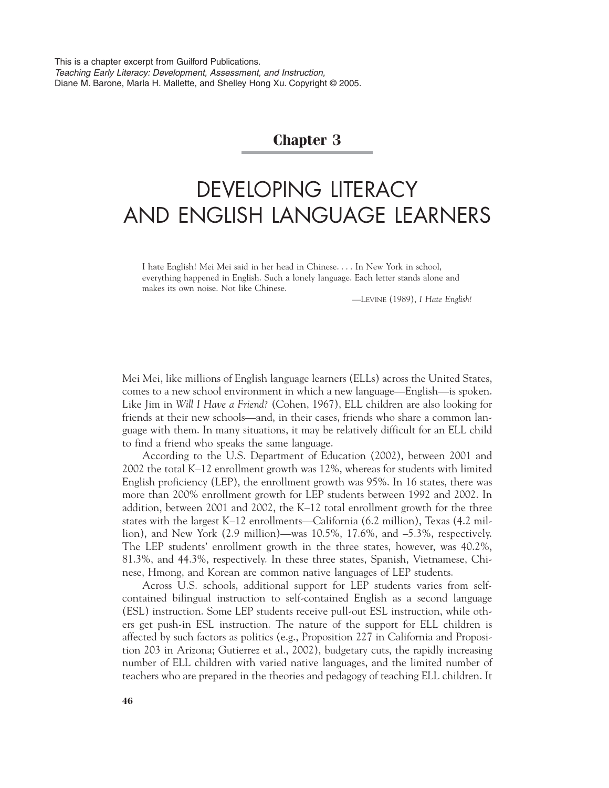This is a chapter excerpt from Guilford Publications. Teaching Early Literacy: Development, Assessment, and Instruction, Diane M. Barone, Marla H. Mallette, and Shelley Hong Xu. Copyright © 2005.

# **Chapter 3**

# DEVELOPING LITERACY AND ENGLISH LANGUAGE LEARNERS

I hate English! Mei Mei said in her head in Chinese. . . . In New York in school, everything happened in English. Such a lonely language. Each letter stands alone and makes its own noise. Not like Chinese.

—LEVINE (1989), *I Hate English!*

Mei Mei, like millions of English language learners (ELLs) across the United States, comes to a new school environment in which a new language—English—is spoken. Like Jim in *Will I Have a Friend?* (Cohen, 1967), ELL children are also looking for friends at their new schools—and, in their cases, friends who share a common language with them. In many situations, it may be relatively difficult for an ELL child to find a friend who speaks the same language.

According to the U.S. Department of Education (2002), between 2001 and 2002 the total K–12 enrollment growth was 12%, whereas for students with limited English proficiency (LEP), the enrollment growth was 95%. In 16 states, there was more than 200% enrollment growth for LEP students between 1992 and 2002. In addition, between 2001 and 2002, the K–12 total enrollment growth for the three states with the largest K–12 enrollments—California (6.2 million), Texas (4.2 million), and New York (2.9 million)—was 10.5%, 17.6%, and –5.3%, respectively. The LEP students' enrollment growth in the three states, however, was 40.2%, 81.3%, and 44.3%, respectively. In these three states, Spanish, Vietnamese, Chinese, Hmong, and Korean are common native languages of LEP students.

Across U.S. schools, additional support for LEP students varies from selfcontained bilingual instruction to self-contained English as a second language (ESL) instruction. Some LEP students receive pull-out ESL instruction, while others get push-in ESL instruction. The nature of the support for ELL children is affected by such factors as politics (e.g., Proposition 227 in California and Proposition 203 in Arizona; Gutierrez et al., 2002), budgetary cuts, the rapidly increasing number of ELL children with varied native languages, and the limited number of teachers who are prepared in the theories and pedagogy of teaching ELL children. It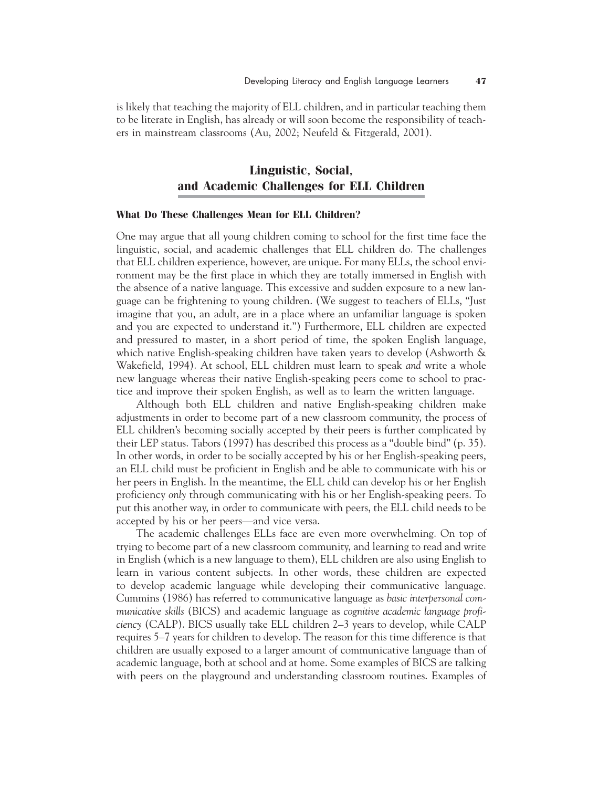is likely that teaching the majority of ELL children, and in particular teaching them to be literate in English, has already or will soon become the responsibility of teachers in mainstream classrooms (Au, 2002; Neufeld & Fitzgerald, 2001).

# **Linguistic, Social, and Academic Challenges for ELL Children**

# **What Do These Challenges Mean for ELL Children?**

One may argue that all young children coming to school for the first time face the linguistic, social, and academic challenges that ELL children do. The challenges that ELL children experience, however, are unique. For many ELLs, the school environment may be the first place in which they are totally immersed in English with the absence of a native language. This excessive and sudden exposure to a new language can be frightening to young children. (We suggest to teachers of ELLs, "Just imagine that you, an adult, are in a place where an unfamiliar language is spoken and you are expected to understand it.") Furthermore, ELL children are expected and pressured to master, in a short period of time, the spoken English language, which native English-speaking children have taken years to develop (Ashworth & Wakefield, 1994). At school, ELL children must learn to speak *and* write a whole new language whereas their native English-speaking peers come to school to practice and improve their spoken English, as well as to learn the written language.

Although both ELL children and native English-speaking children make adjustments in order to become part of a new classroom community, the process of ELL children's becoming socially accepted by their peers is further complicated by their LEP status. Tabors (1997) has described this process as a "double bind" (p. 35). In other words, in order to be socially accepted by his or her English-speaking peers, an ELL child must be proficient in English and be able to communicate with his or her peers in English. In the meantime, the ELL child can develop his or her English proficiency *only* through communicating with his or her English-speaking peers. To put this another way, in order to communicate with peers, the ELL child needs to be accepted by his or her peers—and vice versa.

The academic challenges ELLs face are even more overwhelming. On top of trying to become part of a new classroom community, and learning to read and write in English (which is a new language to them), ELL children are also using English to learn in various content subjects. In other words, these children are expected to develop academic language while developing their communicative language. Cummins (1986) has referred to communicative language as *basic interpersonal communicative skills* (BICS) and academic language as *cognitive academic language proficiency* (CALP). BICS usually take ELL children 2–3 years to develop, while CALP requires 5–7 years for children to develop. The reason for this time difference is that children are usually exposed to a larger amount of communicative language than of academic language, both at school and at home. Some examples of BICS are talking with peers on the playground and understanding classroom routines. Examples of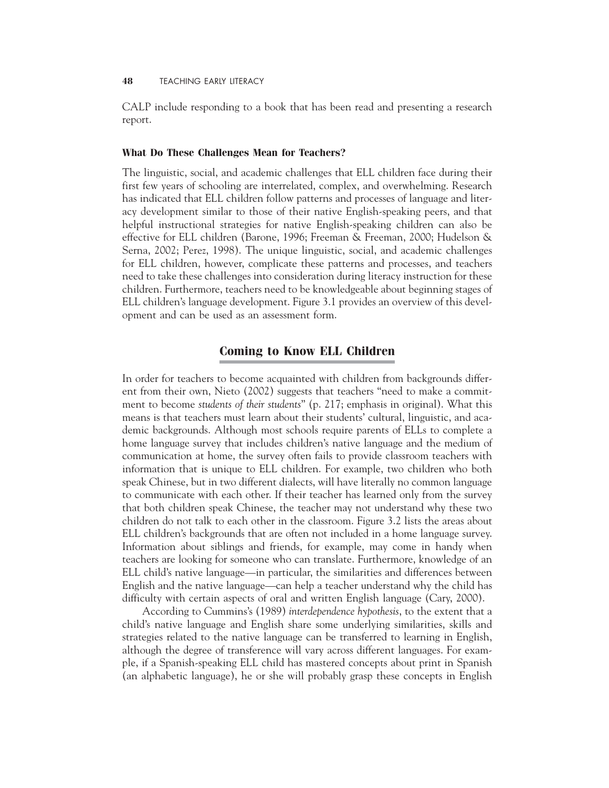CALP include responding to a book that has been read and presenting a research report.

### **What Do These Challenges Mean for Teachers?**

The linguistic, social, and academic challenges that ELL children face during their first few years of schooling are interrelated, complex, and overwhelming. Research has indicated that ELL children follow patterns and processes of language and literacy development similar to those of their native English-speaking peers, and that helpful instructional strategies for native English-speaking children can also be effective for ELL children (Barone, 1996; Freeman & Freeman, 2000; Hudelson & Serna, 2002; Perez, 1998). The unique linguistic, social, and academic challenges for ELL children, however, complicate these patterns and processes, and teachers need to take these challenges into consideration during literacy instruction for these children. Furthermore, teachers need to be knowledgeable about beginning stages of ELL children's language development. Figure 3.1 provides an overview of this development and can be used as an assessment form.

# **Coming to Know ELL Children**

In order for teachers to become acquainted with children from backgrounds different from their own, Nieto (2002) suggests that teachers "need to make a commitment to become *students of their students*" (p. 217; emphasis in original). What this means is that teachers must learn about their students' cultural, linguistic, and academic backgrounds. Although most schools require parents of ELLs to complete a home language survey that includes children's native language and the medium of communication at home, the survey often fails to provide classroom teachers with information that is unique to ELL children. For example, two children who both speak Chinese, but in two different dialects, will have literally no common language to communicate with each other. If their teacher has learned only from the survey that both children speak Chinese, the teacher may not understand why these two children do not talk to each other in the classroom. Figure 3.2 lists the areas about ELL children's backgrounds that are often not included in a home language survey. Information about siblings and friends, for example, may come in handy when teachers are looking for someone who can translate. Furthermore, knowledge of an ELL child's native language—in particular, the similarities and differences between English and the native language—can help a teacher understand why the child has difficulty with certain aspects of oral and written English language (Cary, 2000).

According to Cummins's (1989) *interdependence hypothesis*, to the extent that a child's native language and English share some underlying similarities, skills and strategies related to the native language can be transferred to learning in English, although the degree of transference will vary across different languages. For example, if a Spanish-speaking ELL child has mastered concepts about print in Spanish (an alphabetic language), he or she will probably grasp these concepts in English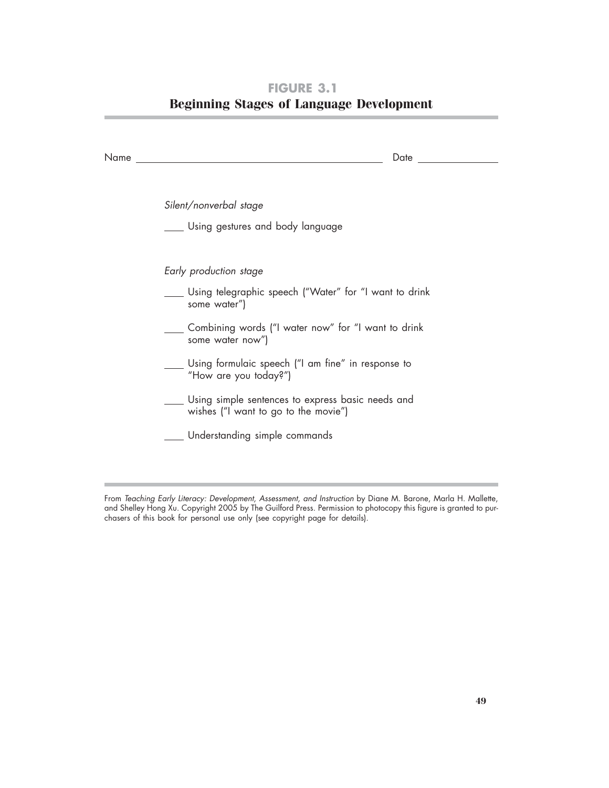| <b>Date Date</b>                                                                               |
|------------------------------------------------------------------------------------------------|
|                                                                                                |
| Silent/nonverbal stage                                                                         |
| Using gestures and body language                                                               |
|                                                                                                |
| Early production stage                                                                         |
| ____ Using telegraphic speech ("Water" for "I want to drink<br>some water")                    |
| ___ Combining words ("I water now" for "I want to drink<br>some water now")                    |
| ___ Using formulaic speech ("I am fine" in response to<br>"How are you today?")                |
| ____ Using simple sentences to express basic needs and<br>wishes ("I want to go to the movie") |
| Understanding simple commands                                                                  |
|                                                                                                |

# **FIGURE 3.1 Beginning Stages of Language Development**

From Teaching Early Literacy: Development, Assessment, and Instruction by Diane M. Barone, Marla H. Mallette, and Shelley Hong Xu. Copyright 2005 by The Guilford Press. Permission to photocopy this figure is granted to purchasers of this book for personal use only (see copyright page for details).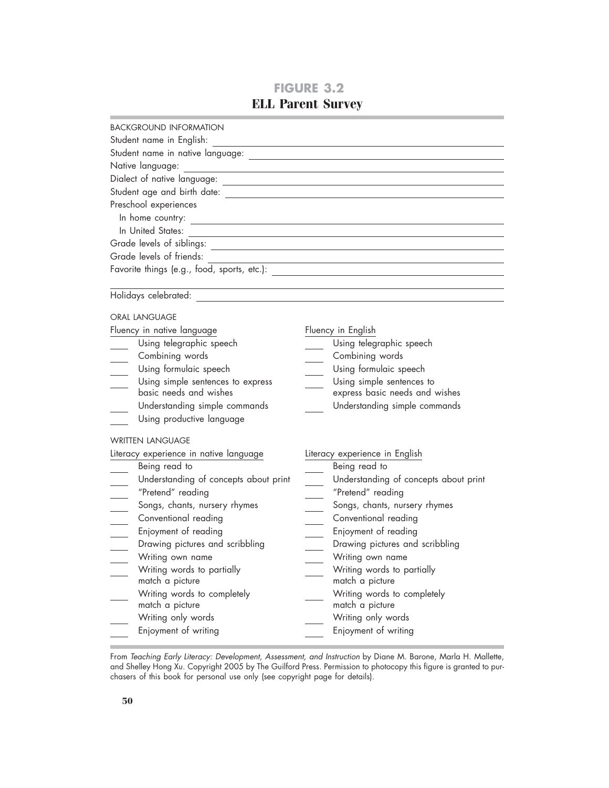# **FIGURE 3.2**

# **ELL Parent Survey**

| BACKGROUND INFORMATION                                                                                                                                                                                                         |                                                                                                                                                                                                                               |  |  |  |  |
|--------------------------------------------------------------------------------------------------------------------------------------------------------------------------------------------------------------------------------|-------------------------------------------------------------------------------------------------------------------------------------------------------------------------------------------------------------------------------|--|--|--|--|
| Student name in English:                                                                                                                                                                                                       | <u> 1989 - Johann Stein, mars an deus Amerikaansk kommunister (</u>                                                                                                                                                           |  |  |  |  |
|                                                                                                                                                                                                                                |                                                                                                                                                                                                                               |  |  |  |  |
| Native language:                                                                                                                                                                                                               |                                                                                                                                                                                                                               |  |  |  |  |
|                                                                                                                                                                                                                                |                                                                                                                                                                                                                               |  |  |  |  |
| Student age and birth date: with a state of the state of the state of the state of the state of the state of the state of the state of the state of the state of the state of the state of the state of the state of the state |                                                                                                                                                                                                                               |  |  |  |  |
| Preschool experiences                                                                                                                                                                                                          |                                                                                                                                                                                                                               |  |  |  |  |
| In home country:                                                                                                                                                                                                               | <u> 1989 - Johann Stein, fransk politik (d. 1989)</u>                                                                                                                                                                         |  |  |  |  |
| In United States:                                                                                                                                                                                                              | the control of the control of the control of the control of the control of the control of the control of the control of the control of the control of the control of the control of the control of the control of the control |  |  |  |  |
|                                                                                                                                                                                                                                |                                                                                                                                                                                                                               |  |  |  |  |
| Grade levels of friends:                                                                                                                                                                                                       | <u> 1989 - Johann Stein, marwolaethau a bhann an t-Amhair an t-Amhair an t-Amhair an t-Amhair an t-Amhair an t-A</u>                                                                                                          |  |  |  |  |
|                                                                                                                                                                                                                                |                                                                                                                                                                                                                               |  |  |  |  |
|                                                                                                                                                                                                                                | the control of the control of the control of the control of the control of the control of the control of the control of the control of the control of the control of the control of the control of the control of the control |  |  |  |  |
| <b>ORAL LANGUAGE</b>                                                                                                                                                                                                           |                                                                                                                                                                                                                               |  |  |  |  |
| Fluency in native language                                                                                                                                                                                                     | Fluency in English                                                                                                                                                                                                            |  |  |  |  |
| Using telegraphic speech                                                                                                                                                                                                       | Using telegraphic speech                                                                                                                                                                                                      |  |  |  |  |
| Combining words                                                                                                                                                                                                                | Combining words                                                                                                                                                                                                               |  |  |  |  |
| Using formulaic speech                                                                                                                                                                                                         | Using formulaic speech                                                                                                                                                                                                        |  |  |  |  |
| Using simple sentences to express                                                                                                                                                                                              | Using simple sentences to                                                                                                                                                                                                     |  |  |  |  |
| basic needs and wishes                                                                                                                                                                                                         | express basic needs and wishes                                                                                                                                                                                                |  |  |  |  |
| Understanding simple commands                                                                                                                                                                                                  | Understanding simple commands                                                                                                                                                                                                 |  |  |  |  |
| Using productive language                                                                                                                                                                                                      |                                                                                                                                                                                                                               |  |  |  |  |
| <b>WRITTEN LANGUAGE</b>                                                                                                                                                                                                        |                                                                                                                                                                                                                               |  |  |  |  |
| Literacy experience in native language                                                                                                                                                                                         | Literacy experience in English                                                                                                                                                                                                |  |  |  |  |
| Being read to                                                                                                                                                                                                                  | Being read to                                                                                                                                                                                                                 |  |  |  |  |
| Understanding of concepts about print                                                                                                                                                                                          | Understanding of concepts about print                                                                                                                                                                                         |  |  |  |  |
| "Pretend" reading                                                                                                                                                                                                              | "Pretend" reading                                                                                                                                                                                                             |  |  |  |  |
| Songs, chants, nursery rhymes                                                                                                                                                                                                  | Songs, chants, nursery rhymes                                                                                                                                                                                                 |  |  |  |  |
| Conventional reading                                                                                                                                                                                                           | Conventional reading                                                                                                                                                                                                          |  |  |  |  |
| Enjoyment of reading                                                                                                                                                                                                           | Enjoyment of reading                                                                                                                                                                                                          |  |  |  |  |
| Drawing pictures and scribbling                                                                                                                                                                                                | Drawing pictures and scribbling                                                                                                                                                                                               |  |  |  |  |
| Writing own name                                                                                                                                                                                                               | Writing own name                                                                                                                                                                                                              |  |  |  |  |
| Writing words to partially<br>match a picture                                                                                                                                                                                  | Writing words to partially<br>match a picture                                                                                                                                                                                 |  |  |  |  |
|                                                                                                                                                                                                                                | Writing words to completely                                                                                                                                                                                                   |  |  |  |  |
| Writing words to completely<br>match a picture                                                                                                                                                                                 | match a picture                                                                                                                                                                                                               |  |  |  |  |
| Writing only words                                                                                                                                                                                                             | Writing only words                                                                                                                                                                                                            |  |  |  |  |
| Enjoyment of writing                                                                                                                                                                                                           | Enjoyment of writing                                                                                                                                                                                                          |  |  |  |  |
|                                                                                                                                                                                                                                |                                                                                                                                                                                                                               |  |  |  |  |

From Teaching Early Literacy: Development, Assessment, and Instruction by Diane M. Barone, Marla H. Mallette, and Shelley Hong Xu. Copyright 2005 by The Guilford Press. Permission to photocopy this figure is granted to purchasers of this book for personal use only (see copyright page for details).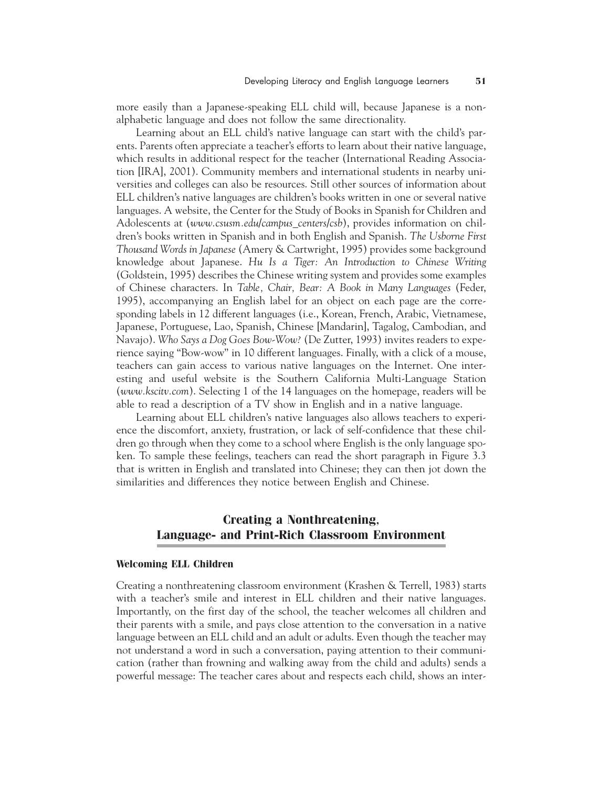more easily than a Japanese-speaking ELL child will, because Japanese is a nonalphabetic language and does not follow the same directionality.

Learning about an ELL child's native language can start with the child's parents. Parents often appreciate a teacher's efforts to learn about their native language, which results in additional respect for the teacher (International Reading Association [IRA], 2001). Community members and international students in nearby universities and colleges can also be resources. Still other sources of information about ELL children's native languages are children's books written in one or several native languages. A website, the Center for the Study of Books in Spanish for Children and Adolescents at (*www.csusm.edu/campus\_centers/csb*), provides information on children's books written in Spanish and in both English and Spanish. *The Usborne First Thousand Words in Japanese* (Amery & Cartwright, 1995) provides some background knowledge about Japanese. *Hu Is a Tiger: An Introduction to Chinese Writing* (Goldstein, 1995) describes the Chinese writing system and provides some examples of Chinese characters. In *Table, Chair, Bear: A Book in Many Languages* (Feder, 1995), accompanying an English label for an object on each page are the corresponding labels in 12 different languages (i.e., Korean, French, Arabic, Vietnamese, Japanese, Portuguese, Lao, Spanish, Chinese [Mandarin], Tagalog, Cambodian, and Navajo). *Who Says a Dog Goes Bow-Wow?* (De Zutter, 1993) invites readers to experience saying "Bow-wow" in 10 different languages. Finally, with a click of a mouse, teachers can gain access to various native languages on the Internet. One interesting and useful website is the Southern California Multi-Language Station (*www.kscitv.com*). Selecting 1 of the 14 languages on the homepage, readers will be able to read a description of a TV show in English and in a native language.

Learning about ELL children's native languages also allows teachers to experience the discomfort, anxiety, frustration, or lack of self-confidence that these children go through when they come to a school where English is the only language spoken. To sample these feelings, teachers can read the short paragraph in Figure 3.3 that is written in English and translated into Chinese; they can then jot down the similarities and differences they notice between English and Chinese.

# **Creating a Nonthreatening, Language- and Print-Rich Classroom Environment**

# **Welcoming ELL Children**

Creating a nonthreatening classroom environment (Krashen & Terrell, 1983) starts with a teacher's smile and interest in ELL children and their native languages. Importantly, on the first day of the school, the teacher welcomes all children and their parents with a smile, and pays close attention to the conversation in a native language between an ELL child and an adult or adults. Even though the teacher may not understand a word in such a conversation, paying attention to their communication (rather than frowning and walking away from the child and adults) sends a powerful message: The teacher cares about and respects each child, shows an inter-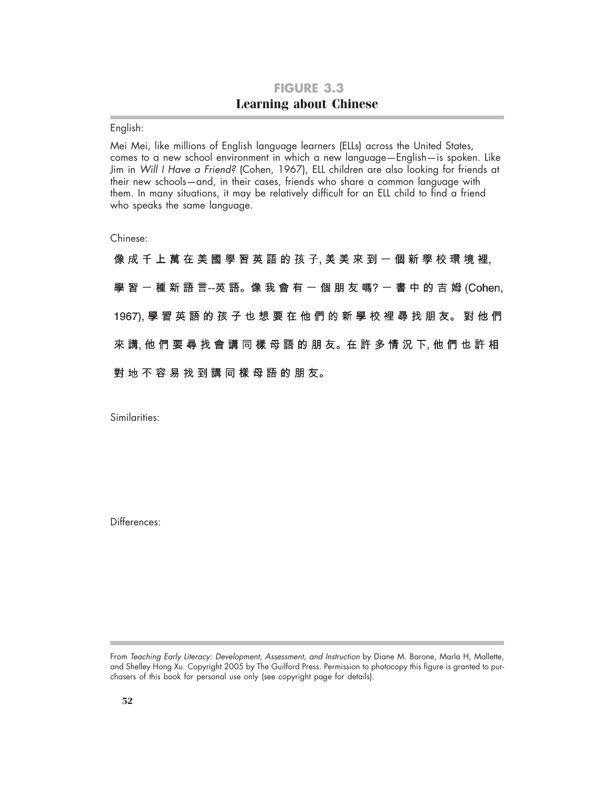# **FIGURE 3.3 Learning about Chinese**

### English:

Mei Mei, like millions of English language learners (ELLs) across the United States, comes to a new school environment in which a new language—English—is spoken. Like Jim in Will I Have <sup>a</sup> Friend? (Cohen, 1967), ELL children are also looking for friends at their new schools—and, in their cases, friends who share a common language with them. In many situations, it may be relatively difficult for an ELL child to find a friend who speaks the same language.

Chinese:

像 成 千 上 萬 在 美 國 學 習 英 語 的 孩 子, 美 美 來 到 一 個 新 學 校 環 境 裡, 學 習 一 種 新 語 言--英 語。像 我 會 有 一 個 朋 友 嗎? 一 書 中 的 吉 姆 (Cohen, 1967), 學 習 英 語 的 孩 子 也 想 要 在 他 們 的 新 學 校 裡 尋 找 朋 友。 對 他 們 來 講, 他 們 要 尋 找 會 講 同 樣 母 語 的 朋 友。在 許 多 情 況 下, 他 們 也 許 相 對地不容易找到講同樣母語的朋友。

Similarities:

Differences:

From Teaching Early Literacy: Development, Assessment, and Instruction by Diane M. Barone, Marla H, Mallette, and Shelley Hong Xu. Copyright 2005 by The Guilford Press. Permission to photocopy this figure is granted to purchasers of this book for personal use only (see copyright page for details).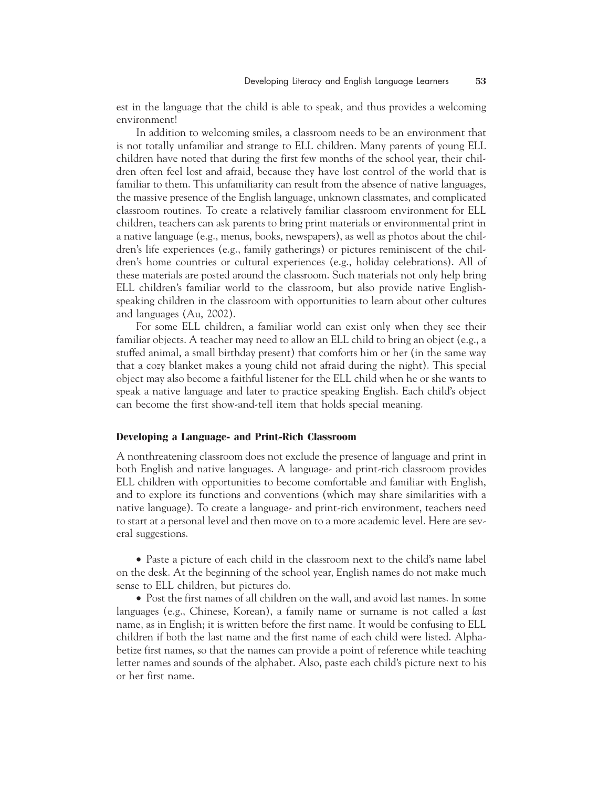est in the language that the child is able to speak, and thus provides a welcoming environment!

In addition to welcoming smiles, a classroom needs to be an environment that is not totally unfamiliar and strange to ELL children. Many parents of young ELL children have noted that during the first few months of the school year, their children often feel lost and afraid, because they have lost control of the world that is familiar to them. This unfamiliarity can result from the absence of native languages, the massive presence of the English language, unknown classmates, and complicated classroom routines. To create a relatively familiar classroom environment for ELL children, teachers can ask parents to bring print materials or environmental print in a native language (e.g., menus, books, newspapers), as well as photos about the children's life experiences (e.g., family gatherings) or pictures reminiscent of the children's home countries or cultural experiences (e.g., holiday celebrations). All of these materials are posted around the classroom. Such materials not only help bring ELL children's familiar world to the classroom, but also provide native Englishspeaking children in the classroom with opportunities to learn about other cultures and languages (Au, 2002).

For some ELL children, a familiar world can exist only when they see their familiar objects. A teacher may need to allow an ELL child to bring an object (e.g., a stuffed animal, a small birthday present) that comforts him or her (in the same way that a cozy blanket makes a young child not afraid during the night). This special object may also become a faithful listener for the ELL child when he or she wants to speak a native language and later to practice speaking English. Each child's object can become the first show-and-tell item that holds special meaning.

### **Developing a Language- and Print-Rich Classroom**

A nonthreatening classroom does not exclude the presence of language and print in both English and native languages. A language- and print-rich classroom provides ELL children with opportunities to become comfortable and familiar with English, and to explore its functions and conventions (which may share similarities with a native language). To create a language- and print-rich environment, teachers need to start at a personal level and then move on to a more academic level. Here are several suggestions.

• Paste a picture of each child in the classroom next to the child's name label on the desk. At the beginning of the school year, English names do not make much sense to ELL children, but pictures do.

• Post the first names of all children on the wall, and avoid last names. In some languages (e.g., Chinese, Korean), a family name or surname is not called a *last* name, as in English; it is written before the first name. It would be confusing to ELL children if both the last name and the first name of each child were listed. Alphabetize first names, so that the names can provide a point of reference while teaching letter names and sounds of the alphabet. Also, paste each child's picture next to his or her first name.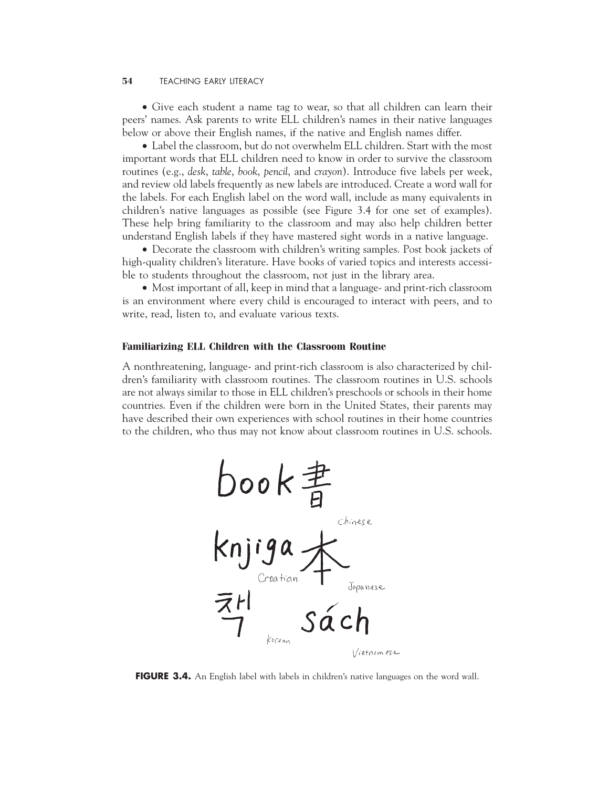• Give each student a name tag to wear, so that all children can learn their peers' names. Ask parents to write ELL children's names in their native languages below or above their English names, if the native and English names differ.

• Label the classroom, but do not overwhelm ELL children. Start with the most important words that ELL children need to know in order to survive the classroom routines (e.g., *desk*, *table*, *book*, *pencil*, and *crayon*). Introduce five labels per week, and review old labels frequently as new labels are introduced. Create a word wall for the labels. For each English label on the word wall, include as many equivalents in children's native languages as possible (see Figure 3.4 for one set of examples). These help bring familiarity to the classroom and may also help children better understand English labels if they have mastered sight words in a native language.

• Decorate the classroom with children's writing samples. Post book jackets of high-quality children's literature. Have books of varied topics and interests accessible to students throughout the classroom, not just in the library area.

• Most important of all, keep in mind that a language- and print-rich classroom is an environment where every child is encouraged to interact with peers, and to write, read, listen to, and evaluate various texts.

#### **Familiarizing ELL Children with the Classroom Routine**

A nonthreatening, language- and print-rich classroom is also characterized by children's familiarity with classroom routines. The classroom routines in U.S. schools are not always similar to those in ELL children's preschools or schools in their home countries. Even if the children were born in the United States, their parents may have described their own experiences with school routines in their home countries to the children, who thus may not know about classroom routines in U.S. schools.



**FIGURE 3.4.** An English label with labels in children's native languages on the word wall.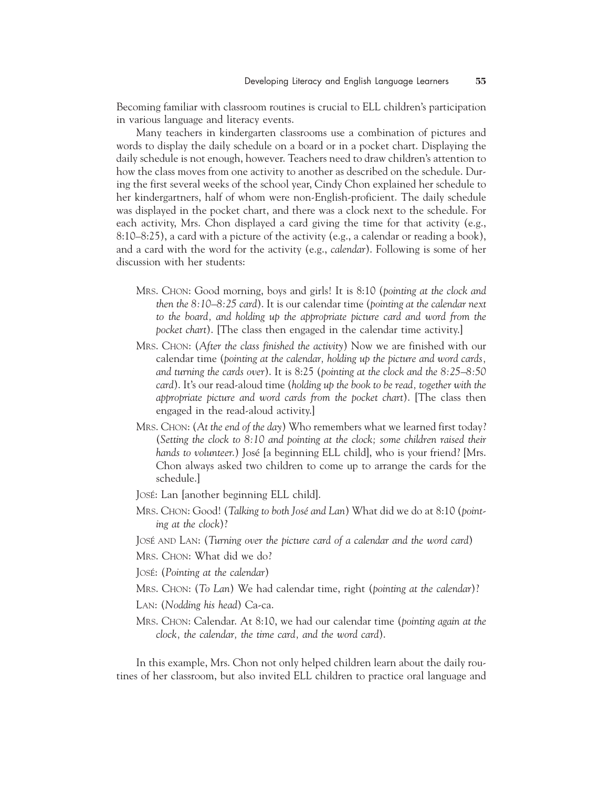Becoming familiar with classroom routines is crucial to ELL children's participation in various language and literacy events.

Many teachers in kindergarten classrooms use a combination of pictures and words to display the daily schedule on a board or in a pocket chart. Displaying the daily schedule is not enough, however. Teachers need to draw children's attention to how the class moves from one activity to another as described on the schedule. During the first several weeks of the school year, Cindy Chon explained her schedule to her kindergartners, half of whom were non-English-proficient. The daily schedule was displayed in the pocket chart, and there was a clock next to the schedule. For each activity, Mrs. Chon displayed a card giving the time for that activity (e.g., 8:10–8:25), a card with a picture of the activity (e.g., a calendar or reading a book), and a card with the word for the activity (e.g., *calendar*). Following is some of her discussion with her students:

- MRS. CHON: Good morning, boys and girls! It is 8:10 (*pointing at the clock and then the 8:10–8:25 card*). It is our calendar time (*pointing at the calendar next to the board, and holding up the appropriate picture card and word from the pocket chart*). [The class then engaged in the calendar time activity.]
- MRS. CHON: (*After the class finished the activity*) Now we are finished with our calendar time (*pointing at the calendar, holding up the picture and word cards, and turning the cards over*). It is 8:25 (*pointing at the clock and the 8:25–8:50 card*). It's our read-aloud time (*holding up the book to be read, together with the appropriate picture and word cards from the pocket chart*). [The class then engaged in the read-aloud activity.]
- MRS. CHON: (*At the end of the day*) Who remembers what we learned first today? (*Setting the clock to 8:10 and pointing at the clock; some children raised their hands to volunteer*.) José [a beginning ELL child], who is your friend? [Mrs. Chon always asked two children to come up to arrange the cards for the schedule.]
- JOSÉ: Lan [another beginning ELL child].
- MRS. CHON: Good! (*Talking to both José and Lan*) What did we do at 8:10 (*pointing at the clock*)?
- JOSÉ AND LAN: (*Turning over the picture card of a calendar and the word card*)
- MRS. CHON: What did we do?
- JOSÉ: (*Pointing at the calendar*)
- MRS. CHON: (*To Lan*) We had calendar time, right (*pointing at the calendar*)?
- LAN: (*Nodding his head*) Ca-ca.
- MRS. CHON: Calendar. At 8:10, we had our calendar time (*pointing again at the clock, the calendar, the time card, and the word card*).

In this example, Mrs. Chon not only helped children learn about the daily routines of her classroom, but also invited ELL children to practice oral language and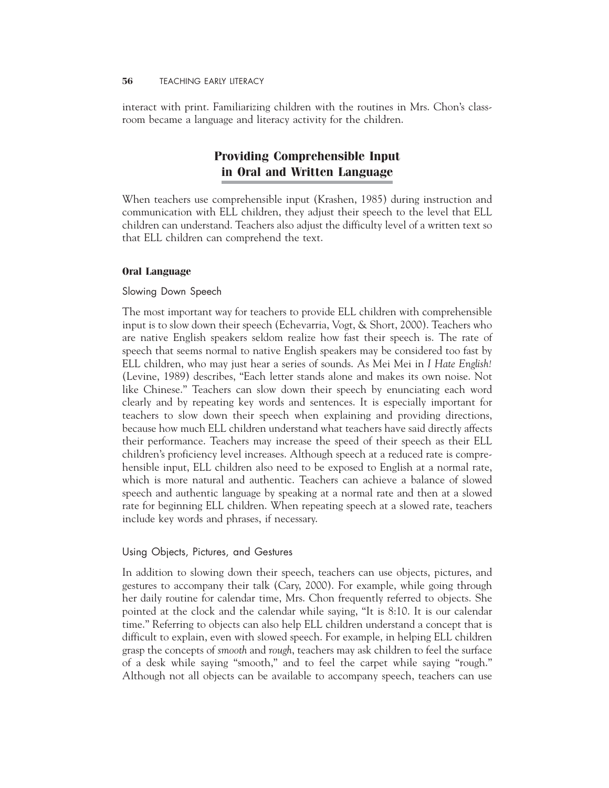interact with print. Familiarizing children with the routines in Mrs. Chon's classroom became a language and literacy activity for the children.

# **Providing Comprehensible Input in Oral and Written Language**

When teachers use comprehensible input (Krashen, 1985) during instruction and communication with ELL children, they adjust their speech to the level that ELL children can understand. Teachers also adjust the difficulty level of a written text so that ELL children can comprehend the text.

# **Oral Language**

### Slowing Down Speech

The most important way for teachers to provide ELL children with comprehensible input is to slow down their speech (Echevarria, Vogt, & Short, 2000). Teachers who are native English speakers seldom realize how fast their speech is. The rate of speech that seems normal to native English speakers may be considered too fast by ELL children, who may just hear a series of sounds. As Mei Mei in *I Hate English!* (Levine, 1989) describes, "Each letter stands alone and makes its own noise. Not like Chinese." Teachers can slow down their speech by enunciating each word clearly and by repeating key words and sentences. It is especially important for teachers to slow down their speech when explaining and providing directions, because how much ELL children understand what teachers have said directly affects their performance. Teachers may increase the speed of their speech as their ELL children's proficiency level increases. Although speech at a reduced rate is comprehensible input, ELL children also need to be exposed to English at a normal rate, which is more natural and authentic. Teachers can achieve a balance of slowed speech and authentic language by speaking at a normal rate and then at a slowed rate for beginning ELL children. When repeating speech at a slowed rate, teachers include key words and phrases, if necessary.

### Using Objects, Pictures, and Gestures

In addition to slowing down their speech, teachers can use objects, pictures, and gestures to accompany their talk (Cary, 2000). For example, while going through her daily routine for calendar time, Mrs. Chon frequently referred to objects. She pointed at the clock and the calendar while saying, "It is 8:10. It is our calendar time." Referring to objects can also help ELL children understand a concept that is difficult to explain, even with slowed speech. For example, in helping ELL children grasp the concepts of *smooth* and *rough*, teachers may ask children to feel the surface of a desk while saying "smooth," and to feel the carpet while saying "rough." Although not all objects can be available to accompany speech, teachers can use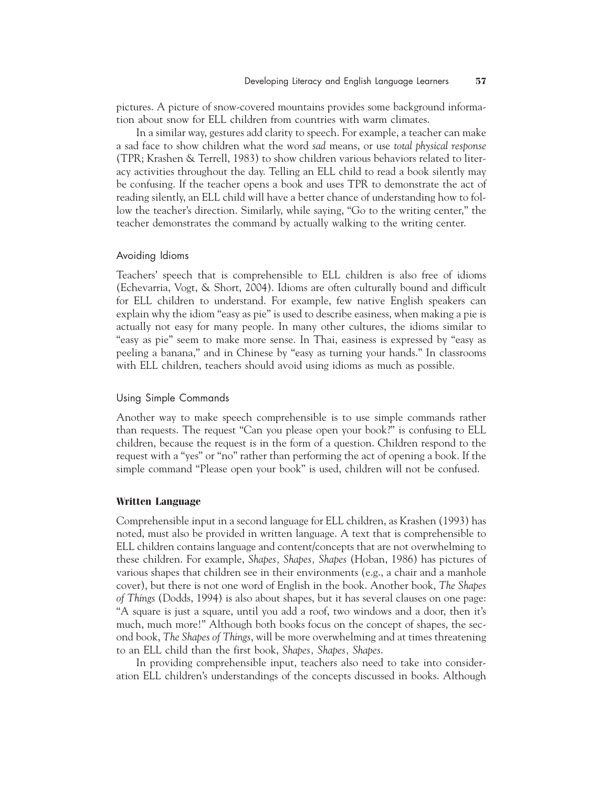pictures. A picture of snow-covered mountains provides some background information about snow for ELL children from countries with warm climates.

In a similar way, gestures add clarity to speech. For example, a teacher can make a sad face to show children what the word *sad* means, or use *total physical response* (TPR; Krashen & Terrell, 1983) to show children various behaviors related to literacy activities throughout the day. Telling an ELL child to read a book silently may be confusing. If the teacher opens a book and uses TPR to demonstrate the act of reading silently, an ELL child will have a better chance of understanding how to follow the teacher's direction. Similarly, while saying, "Go to the writing center," the teacher demonstrates the command by actually walking to the writing center.

### Avoiding Idioms

Teachers' speech that is comprehensible to ELL children is also free of idioms (Echevarria, Vogt, & Short, 2004). Idioms are often culturally bound and difficult for ELL children to understand. For example, few native English speakers can explain why the idiom "easy as pie" is used to describe easiness, when making a pie is actually not easy for many people. In many other cultures, the idioms similar to "easy as pie" seem to make more sense. In Thai, easiness is expressed by "easy as peeling a banana," and in Chinese by "easy as turning your hands." In classrooms with ELL children, teachers should avoid using idioms as much as possible.

### Using Simple Commands

Another way to make speech comprehensible is to use simple commands rather than requests. The request "Can you please open your book?" is confusing to ELL children, because the request is in the form of a question. Children respond to the request with a "yes" or "no" rather than performing the act of opening a book. If the simple command "Please open your book" is used, children will not be confused.

#### **Written Language**

Comprehensible input in a second language for ELL children, as Krashen (1993) has noted, must also be provided in written language. A text that is comprehensible to ELL children contains language and content/concepts that are not overwhelming to these children. For example, *Shapes, Shapes, Shapes* (Hoban, 1986) has pictures of various shapes that children see in their environments (e.g., a chair and a manhole cover), but there is not one word of English in the book. Another book, *The Shapes of Things* (Dodds, 1994) is also about shapes, but it has several clauses on one page: "A square is just a square, until you add a roof, two windows and a door, then it's much, much more!" Although both books focus on the concept of shapes, the second book, *The Shapes of Things*, will be more overwhelming and at times threatening to an ELL child than the first book, *Shapes, Shapes, Shapes*.

In providing comprehensible input, teachers also need to take into consideration ELL children's understandings of the concepts discussed in books. Although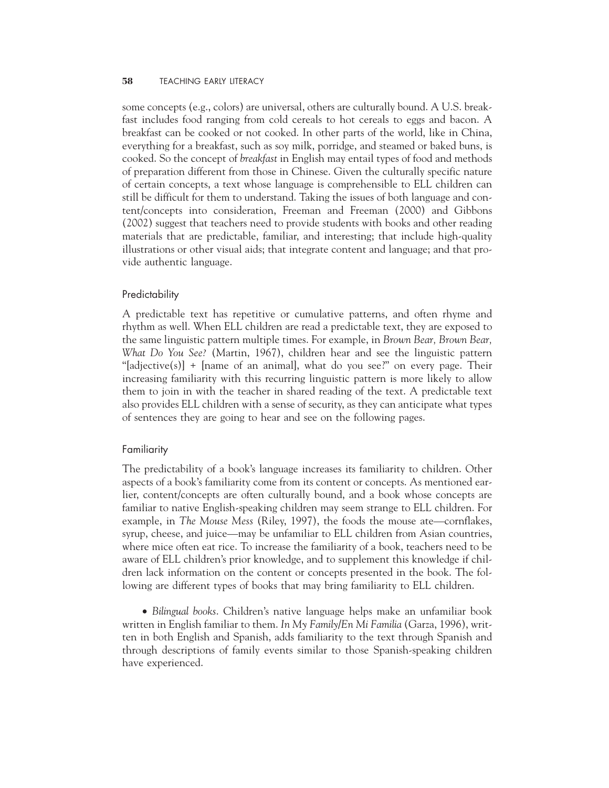some concepts (e.g., colors) are universal, others are culturally bound. A U.S. breakfast includes food ranging from cold cereals to hot cereals to eggs and bacon. A breakfast can be cooked or not cooked. In other parts of the world, like in China, everything for a breakfast, such as soy milk, porridge, and steamed or baked buns, is cooked. So the concept of *breakfast* in English may entail types of food and methods of preparation different from those in Chinese. Given the culturally specific nature of certain concepts, a text whose language is comprehensible to ELL children can still be difficult for them to understand. Taking the issues of both language and content/concepts into consideration, Freeman and Freeman (2000) and Gibbons (2002) suggest that teachers need to provide students with books and other reading materials that are predictable, familiar, and interesting; that include high-quality illustrations or other visual aids; that integrate content and language; and that provide authentic language.

### **Predictability**

A predictable text has repetitive or cumulative patterns, and often rhyme and rhythm as well. When ELL children are read a predictable text, they are exposed to the same linguistic pattern multiple times. For example, in *Brown Bear, Brown Bear, What Do You See?* (Martin, 1967), children hear and see the linguistic pattern "[adjective(s)] + [name of an animal], what do you see?" on every page. Their increasing familiarity with this recurring linguistic pattern is more likely to allow them to join in with the teacher in shared reading of the text. A predictable text also provides ELL children with a sense of security, as they can anticipate what types of sentences they are going to hear and see on the following pages.

# Familiarity

The predictability of a book's language increases its familiarity to children. Other aspects of a book's familiarity come from its content or concepts. As mentioned earlier, content/concepts are often culturally bound, and a book whose concepts are familiar to native English-speaking children may seem strange to ELL children. For example, in *The Mouse Mess* (Riley, 1997), the foods the mouse ate—cornflakes, syrup, cheese, and juice—may be unfamiliar to ELL children from Asian countries, where mice often eat rice. To increase the familiarity of a book, teachers need to be aware of ELL children's prior knowledge, and to supplement this knowledge if children lack information on the content or concepts presented in the book. The following are different types of books that may bring familiarity to ELL children.

• *Bilingual books*. Children's native language helps make an unfamiliar book written in English familiar to them. *In My Family/En Mi Familia* (Garza, 1996), written in both English and Spanish, adds familiarity to the text through Spanish and through descriptions of family events similar to those Spanish-speaking children have experienced.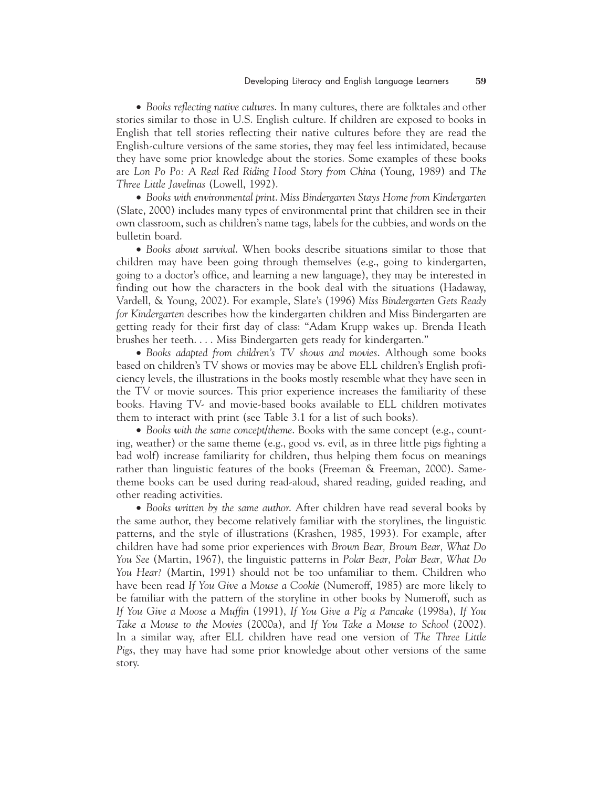• *Books reflecting native cultures*. In many cultures, there are folktales and other stories similar to those in U.S. English culture. If children are exposed to books in English that tell stories reflecting their native cultures before they are read the English-culture versions of the same stories, they may feel less intimidated, because they have some prior knowledge about the stories. Some examples of these books are *Lon Po Po: A Real Red Riding Hood Story from China* (Young, 1989) and *The Three Little Javelinas* (Lowell, 1992).

• *Books with environmental print*. *Miss Bindergarten Stays Home from Kindergarten* (Slate, 2000) includes many types of environmental print that children see in their own classroom, such as children's name tags, labels for the cubbies, and words on the bulletin board.

• *Books about survival*. When books describe situations similar to those that children may have been going through themselves (e.g., going to kindergarten, going to a doctor's office, and learning a new language), they may be interested in finding out how the characters in the book deal with the situations (Hadaway, Vardell, & Young, 2002). For example, Slate's (1996) *Miss Bindergarten Gets Ready for Kindergarten* describes how the kindergarten children and Miss Bindergarten are getting ready for their first day of class: "Adam Krupp wakes up. Brenda Heath brushes her teeth. . . . Miss Bindergarten gets ready for kindergarten."

• *Books adapted from children's TV shows and movies*. Although some books based on children's TV shows or movies may be above ELL children's English proficiency levels, the illustrations in the books mostly resemble what they have seen in the TV or movie sources. This prior experience increases the familiarity of these books. Having TV- and movie-based books available to ELL children motivates them to interact with print (see Table 3.1 for a list of such books).

• *Books with the same concept/theme*. Books with the same concept (e.g., counting, weather) or the same theme (e.g., good vs. evil, as in three little pigs fighting a bad wolf) increase familiarity for children, thus helping them focus on meanings rather than linguistic features of the books (Freeman & Freeman, 2000). Sametheme books can be used during read-aloud, shared reading, guided reading, and other reading activities.

• *Books written by the same author*. After children have read several books by the same author, they become relatively familiar with the storylines, the linguistic patterns, and the style of illustrations (Krashen, 1985, 1993). For example, after children have had some prior experiences with *Brown Bear, Brown Bear, What Do You See* (Martin, 1967), the linguistic patterns in *Polar Bear, Polar Bear, What Do You Hear?* (Martin, 1991) should not be too unfamiliar to them. Children who have been read *If You Give a Mouse a Cookie* (Numeroff, 1985) are more likely to be familiar with the pattern of the storyline in other books by Numeroff, such as *If You Give a Moose a Muffin* (1991), *If You Give a Pig a Pancake* (1998a), *If You Take a Mouse to the Movies* (2000a), and *If You Take a Mouse to School* (2002). In a similar way, after ELL children have read one version of *The Three Little Pigs*, they may have had some prior knowledge about other versions of the same story.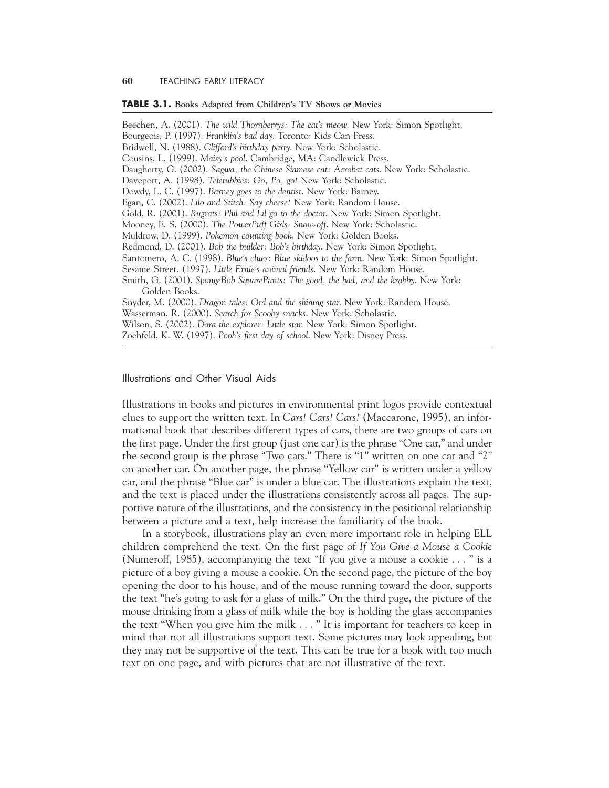#### **TABLE 3.1. Books Adapted from Children's TV Shows or Movies**

Beechen, A. (2001). *The wild Thornberrys: The cat's meow*. New York: Simon Spotlight. Bourgeois, P. (1997). *Franklin's bad day*. Toronto: Kids Can Press. Bridwell, N. (1988). *Clifford's birthday party*. New York: Scholastic. Cousins, L. (1999). *Maisy's pool*. Cambridge, MA: Candlewick Press. Daugherty, G. (2002). *Sagwa, the Chinese Siamese cat: Acrobat cats*. New York: Scholastic. Daveport, A. (1998). *Teletubbies: Go, Po, go!* New York: Scholastic. Dowdy, L. C. (1997). *Barney goes to the dentist*. New York: Barney. Egan, C. (2002). *Lilo and Stitch: Say cheese!* New York: Random House. Gold, R. (2001). *Rugrats: Phil and Lil go to the doctor*. New York: Simon Spotlight. Mooney, E. S. (2000). *The PowerPuff Girls: Snow-off*. New York: Scholastic. Muldrow, D. (1999). *Pokemon counting book*. New York: Golden Books. Redmond, D. (2001). *Bob the builder: Bob's birthday*. New York: Simon Spotlight. Santomero, A. C. (1998). *Blue's clues: Blue skidoos to the farm*. New York: Simon Spotlight. Sesame Street. (1997). *Little Ernie's animal friends*. New York: Random House. Smith, G. (2001). *SpongeBob SquarePants: The good, the bad, and the krabby*. New York: Golden Books. Snyder, M. (2000). *Dragon tales: Ord and the shining star*. New York: Random House. Wasserman, R. (2000). *Search for Scooby snacks*. New York: Scholastic. Wilson, S. (2002). *Dora the explorer: Little star*. New York: Simon Spotlight.

Zoehfeld, K. W. (1997). *Pooh's first day of school*. New York: Disney Press.

### Illustrations and Other Visual Aids

Illustrations in books and pictures in environmental print logos provide contextual clues to support the written text. In *Cars! Cars! Cars!* (Maccarone, 1995), an informational book that describes different types of cars, there are two groups of cars on the first page. Under the first group (just one car) is the phrase "One car," and under the second group is the phrase "Two cars." There is "1" written on one car and "2" on another car. On another page, the phrase "Yellow car" is written under a yellow car, and the phrase "Blue car" is under a blue car. The illustrations explain the text, and the text is placed under the illustrations consistently across all pages. The supportive nature of the illustrations, and the consistency in the positional relationship between a picture and a text, help increase the familiarity of the book.

In a storybook, illustrations play an even more important role in helping ELL children comprehend the text. On the first page of *If You Give a Mouse a Cookie* (Numeroff, 1985), accompanying the text "If you give a mouse a cookie . . . " is a picture of a boy giving a mouse a cookie. On the second page, the picture of the boy opening the door to his house, and of the mouse running toward the door, supports the text "he's going to ask for a glass of milk." On the third page, the picture of the mouse drinking from a glass of milk while the boy is holding the glass accompanies the text "When you give him the milk . . . " It is important for teachers to keep in mind that not all illustrations support text. Some pictures may look appealing, but they may not be supportive of the text. This can be true for a book with too much text on one page, and with pictures that are not illustrative of the text.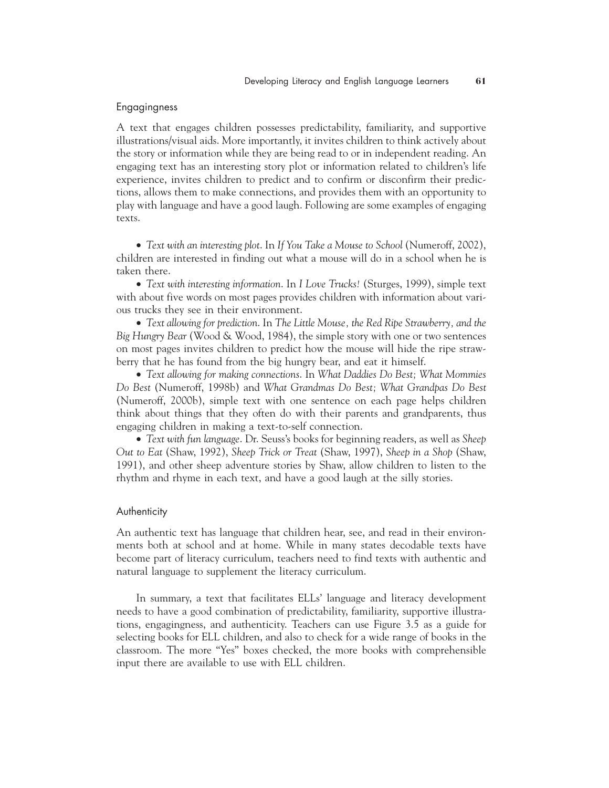### Engagingness

A text that engages children possesses predictability, familiarity, and supportive illustrations/visual aids. More importantly, it invites children to think actively about the story or information while they are being read to or in independent reading. An engaging text has an interesting story plot or information related to children's life experience, invites children to predict and to confirm or disconfirm their predictions, allows them to make connections, and provides them with an opportunity to play with language and have a good laugh. Following are some examples of engaging texts.

• *Text with an interesting plot*. In *If You Take a Mouse to School* (Numeroff, 2002), children are interested in finding out what a mouse will do in a school when he is taken there.

• *Text with interesting information*. In *I Love Trucks!* (Sturges, 1999), simple text with about five words on most pages provides children with information about various trucks they see in their environment.

• *Text allowing for prediction*. In *The Little Mouse, the Red Ripe Strawberry, and the Big Hungry Bear* (Wood & Wood, 1984), the simple story with one or two sentences on most pages invites children to predict how the mouse will hide the ripe strawberry that he has found from the big hungry bear, and eat it himself.

• *Text allowing for making connections*. In *What Daddies Do Best; What Mommies Do Best* (Numeroff, 1998b) and *What Grandmas Do Best; What Grandpas Do Best* (Numeroff, 2000b), simple text with one sentence on each page helps children think about things that they often do with their parents and grandparents, thus engaging children in making a text-to-self connection.

• *Text with fun language*. Dr. Seuss's books for beginning readers, as well as *Sheep Out to Eat* (Shaw, 1992), *Sheep Trick or Treat* (Shaw, 1997), *Sheep in a Shop* (Shaw, 1991), and other sheep adventure stories by Shaw, allow children to listen to the rhythm and rhyme in each text, and have a good laugh at the silly stories.

### **Authenticity**

An authentic text has language that children hear, see, and read in their environments both at school and at home. While in many states decodable texts have become part of literacy curriculum, teachers need to find texts with authentic and natural language to supplement the literacy curriculum.

In summary, a text that facilitates ELLs' language and literacy development needs to have a good combination of predictability, familiarity, supportive illustrations, engagingness, and authenticity. Teachers can use Figure 3.5 as a guide for selecting books for ELL children, and also to check for a wide range of books in the classroom. The more "Yes" boxes checked, the more books with comprehensible input there are available to use with ELL children.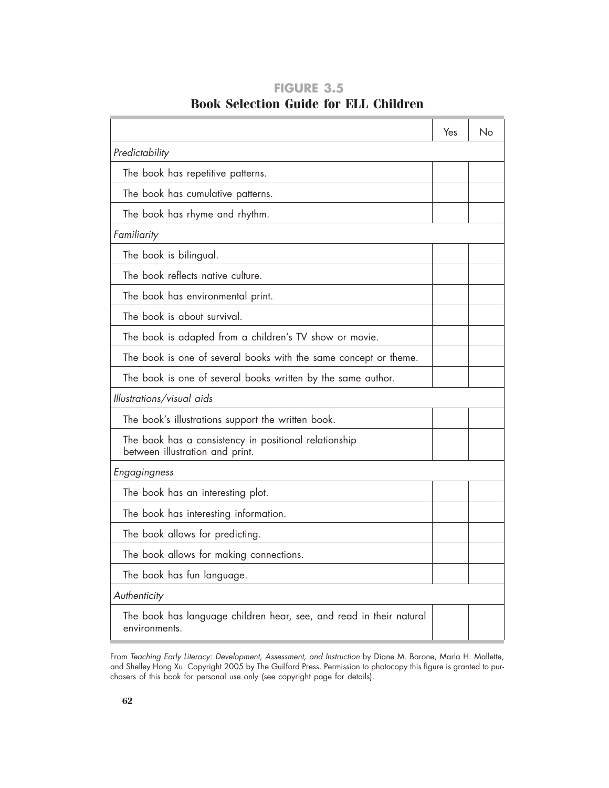|                                                                                          | Yes | No |
|------------------------------------------------------------------------------------------|-----|----|
| Predictability                                                                           |     |    |
| The book has repetitive patterns.                                                        |     |    |
| The book has cumulative patterns.                                                        |     |    |
| The book has rhyme and rhythm.                                                           |     |    |
| Familiarity                                                                              |     |    |
| The book is bilingual.                                                                   |     |    |
| The book reflects native culture.                                                        |     |    |
| The book has environmental print.                                                        |     |    |
| The book is about survival.                                                              |     |    |
| The book is adapted from a children's TV show or movie.                                  |     |    |
| The book is one of several books with the same concept or theme.                         |     |    |
| The book is one of several books written by the same author.                             |     |    |
| Illustrations/visual aids                                                                |     |    |
| The book's illustrations support the written book.                                       |     |    |
| The book has a consistency in positional relationship<br>between illustration and print. |     |    |
| Engagingness                                                                             |     |    |
| The book has an interesting plot.                                                        |     |    |
| The book has interesting information.                                                    |     |    |
| The book allows for predicting.                                                          |     |    |
| The book allows for making connections.                                                  |     |    |
| The book has fun language.                                                               |     |    |
| Authenticity                                                                             |     |    |
| The book has language children hear, see, and read in their natural<br>environments.     |     |    |

# **FIGURE 3.5 Book Selection Guide for ELL Children**

From Teaching Early Literacy: Development, Assessment, and Instruction by Diane M. Barone, Marla H. Mallette, and Shelley Hong Xu. Copyright 2005 by The Guilford Press. Permission to photocopy this figure is granted to purchasers of this book for personal use only (see copyright page for details).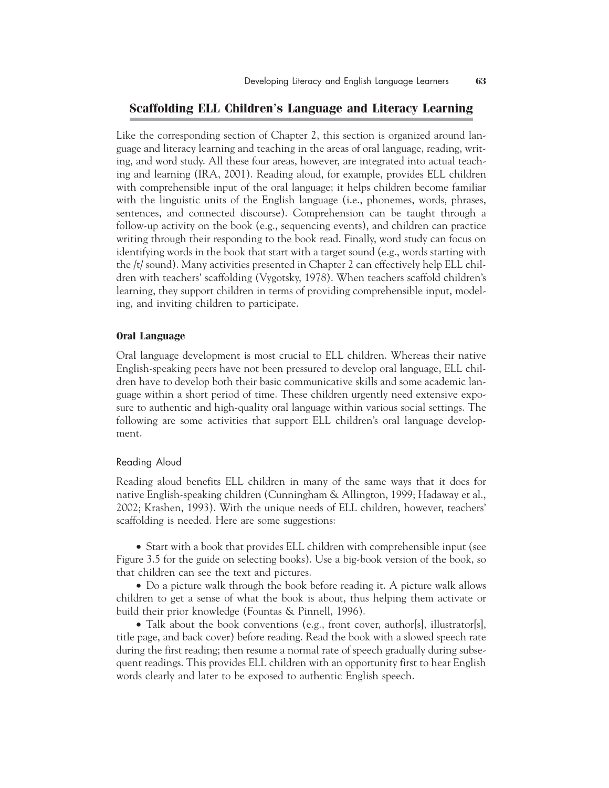# **Scaffolding ELL Children's Language and Literacy Learning**

Like the corresponding section of Chapter 2, this section is organized around language and literacy learning and teaching in the areas of oral language, reading, writing, and word study. All these four areas, however, are integrated into actual teaching and learning (IRA, 2001). Reading aloud, for example, provides ELL children with comprehensible input of the oral language; it helps children become familiar with the linguistic units of the English language (i.e., phonemes, words, phrases, sentences, and connected discourse). Comprehension can be taught through a follow-up activity on the book (e.g., sequencing events), and children can practice writing through their responding to the book read. Finally, word study can focus on identifying words in the book that start with a target sound (e.g., words starting with the /t/ sound). Many activities presented in Chapter 2 can effectively help ELL children with teachers' scaffolding (Vygotsky, 1978). When teachers scaffold children's learning, they support children in terms of providing comprehensible input, modeling, and inviting children to participate.

#### **Oral Language**

Oral language development is most crucial to ELL children. Whereas their native English-speaking peers have not been pressured to develop oral language, ELL children have to develop both their basic communicative skills and some academic language within a short period of time. These children urgently need extensive exposure to authentic and high-quality oral language within various social settings. The following are some activities that support ELL children's oral language development.

# Reading Aloud

Reading aloud benefits ELL children in many of the same ways that it does for native English-speaking children (Cunningham & Allington, 1999; Hadaway et al., 2002; Krashen, 1993). With the unique needs of ELL children, however, teachers' scaffolding is needed. Here are some suggestions:

• Start with a book that provides ELL children with comprehensible input (see Figure 3.5 for the guide on selecting books). Use a big-book version of the book, so that children can see the text and pictures.

• Do a picture walk through the book before reading it. A picture walk allows children to get a sense of what the book is about, thus helping them activate or build their prior knowledge (Fountas & Pinnell, 1996).

• Talk about the book conventions (e.g., front cover, author[s], illustrator[s], title page, and back cover) before reading. Read the book with a slowed speech rate during the first reading; then resume a normal rate of speech gradually during subsequent readings. This provides ELL children with an opportunity first to hear English words clearly and later to be exposed to authentic English speech.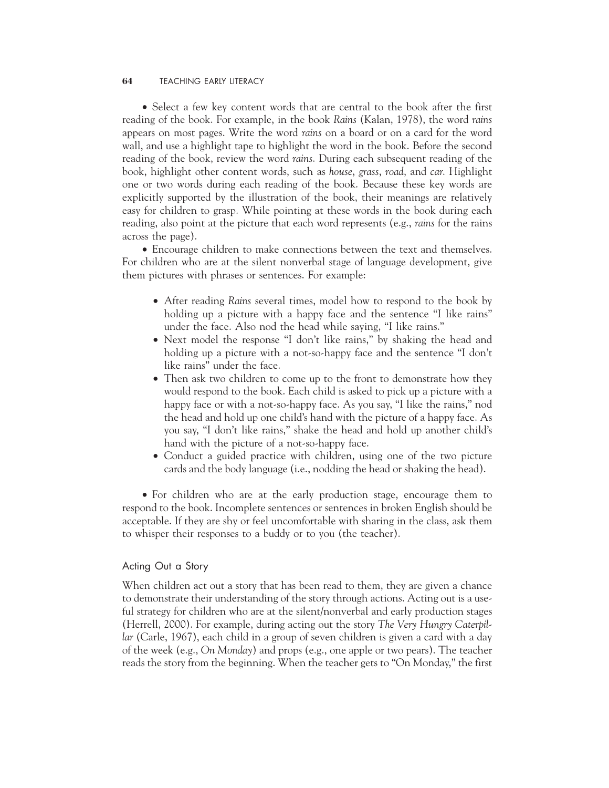• Select a few key content words that are central to the book after the first reading of the book. For example, in the book *Rains* (Kalan, 1978), the word *rains* appears on most pages. Write the word *rains* on a board or on a card for the word wall, and use a highlight tape to highlight the word in the book. Before the second reading of the book, review the word *rains*. During each subsequent reading of the book, highlight other content words, such as *house*, *grass*, *road*, and *car*. Highlight one or two words during each reading of the book. Because these key words are explicitly supported by the illustration of the book, their meanings are relatively easy for children to grasp. While pointing at these words in the book during each reading, also point at the picture that each word represents (e.g., *rains* for the rains across the page).

• Encourage children to make connections between the text and themselves. For children who are at the silent nonverbal stage of language development, give them pictures with phrases or sentences. For example:

- After reading *Rains* several times, model how to respond to the book by holding up a picture with a happy face and the sentence "I like rains" under the face. Also nod the head while saying, "I like rains."
- Next model the response "I don't like rains," by shaking the head and holding up a picture with a not-so-happy face and the sentence "I don't like rains" under the face.
- Then ask two children to come up to the front to demonstrate how they would respond to the book. Each child is asked to pick up a picture with a happy face or with a not-so-happy face. As you say, "I like the rains," nod the head and hold up one child's hand with the picture of a happy face. As you say, "I don't like rains," shake the head and hold up another child's hand with the picture of a not-so-happy face.
- Conduct a guided practice with children, using one of the two picture cards and the body language (i.e., nodding the head or shaking the head).

• For children who are at the early production stage, encourage them to respond to the book. Incomplete sentences or sentences in broken English should be acceptable. If they are shy or feel uncomfortable with sharing in the class, ask them to whisper their responses to a buddy or to you (the teacher).

### Acting Out a Story

When children act out a story that has been read to them, they are given a chance to demonstrate their understanding of the story through actions. Acting out is a useful strategy for children who are at the silent/nonverbal and early production stages (Herrell, 2000). For example, during acting out the story *The Very Hungry Caterpillar* (Carle, 1967), each child in a group of seven children is given a card with a day of the week (e.g., *On Monday*) and props (e.g., one apple or two pears). The teacher reads the story from the beginning. When the teacher gets to "On Monday," the first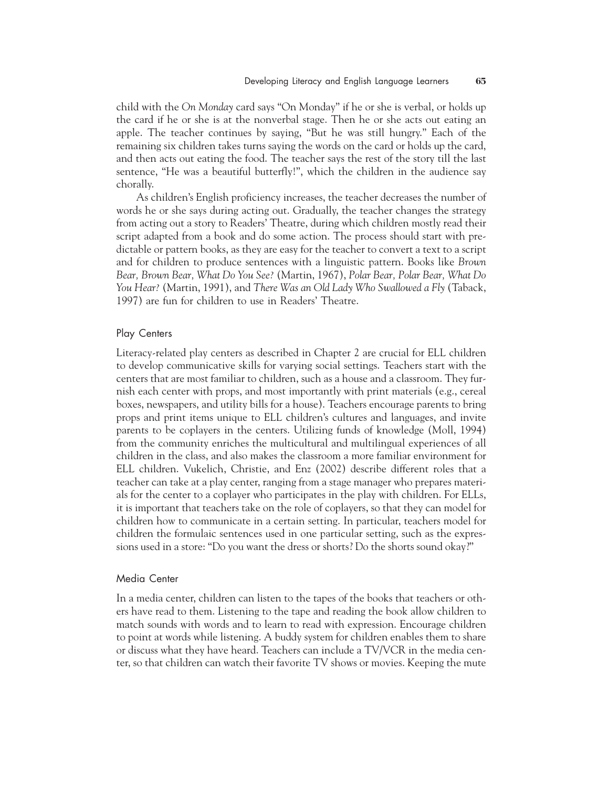child with the *On Monday* card says "On Monday" if he or she is verbal, or holds up the card if he or she is at the nonverbal stage. Then he or she acts out eating an apple. The teacher continues by saying, "But he was still hungry." Each of the remaining six children takes turns saying the words on the card or holds up the card, and then acts out eating the food. The teacher says the rest of the story till the last sentence, "He was a beautiful butterfly!", which the children in the audience say chorally.

As children's English proficiency increases, the teacher decreases the number of words he or she says during acting out. Gradually, the teacher changes the strategy from acting out a story to Readers' Theatre, during which children mostly read their script adapted from a book and do some action. The process should start with predictable or pattern books, as they are easy for the teacher to convert a text to a script and for children to produce sentences with a linguistic pattern. Books like *Brown Bear, Brown Bear, What Do You See?* (Martin, 1967), *Polar Bear, Polar Bear, What Do You Hear?* (Martin, 1991), and *There Was an Old Lady Who Swallowed a Fly* (Taback, 1997) are fun for children to use in Readers' Theatre.

# Play Centers

Literacy-related play centers as described in Chapter 2 are crucial for ELL children to develop communicative skills for varying social settings. Teachers start with the centers that are most familiar to children, such as a house and a classroom. They furnish each center with props, and most importantly with print materials (e.g., cereal boxes, newspapers, and utility bills for a house). Teachers encourage parents to bring props and print items unique to ELL children's cultures and languages, and invite parents to be coplayers in the centers. Utilizing funds of knowledge (Moll, 1994) from the community enriches the multicultural and multilingual experiences of all children in the class, and also makes the classroom a more familiar environment for ELL children. Vukelich, Christie, and Enz (2002) describe different roles that a teacher can take at a play center, ranging from a stage manager who prepares materials for the center to a coplayer who participates in the play with children. For ELLs, it is important that teachers take on the role of coplayers, so that they can model for children how to communicate in a certain setting. In particular, teachers model for children the formulaic sentences used in one particular setting, such as the expressions used in a store: "Do you want the dress or shorts? Do the shorts sound okay?"

### Media Center

In a media center, children can listen to the tapes of the books that teachers or others have read to them. Listening to the tape and reading the book allow children to match sounds with words and to learn to read with expression. Encourage children to point at words while listening. A buddy system for children enables them to share or discuss what they have heard. Teachers can include a TV/VCR in the media center, so that children can watch their favorite TV shows or movies. Keeping the mute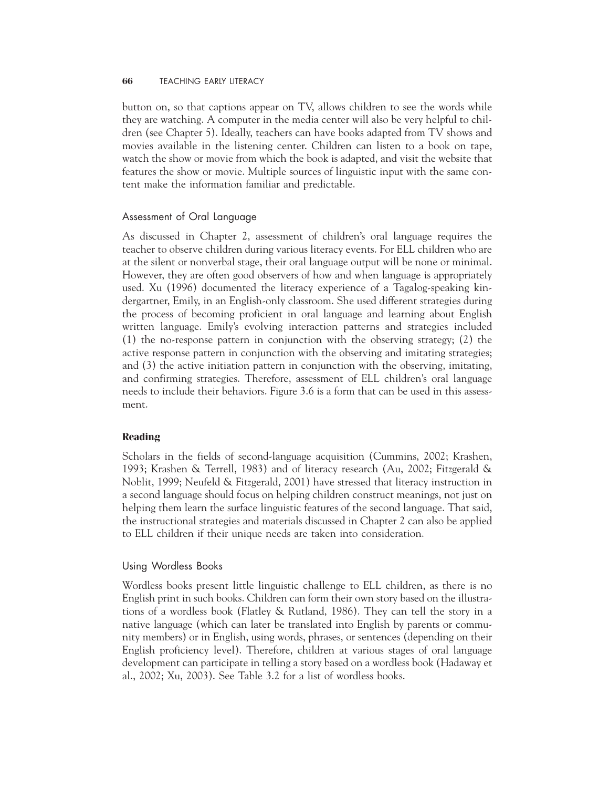button on, so that captions appear on TV, allows children to see the words while they are watching. A computer in the media center will also be very helpful to children (see Chapter 5). Ideally, teachers can have books adapted from TV shows and movies available in the listening center. Children can listen to a book on tape, watch the show or movie from which the book is adapted, and visit the website that features the show or movie. Multiple sources of linguistic input with the same content make the information familiar and predictable.

# Assessment of Oral Language

As discussed in Chapter 2, assessment of children's oral language requires the teacher to observe children during various literacy events. For ELL children who are at the silent or nonverbal stage, their oral language output will be none or minimal. However, they are often good observers of how and when language is appropriately used. Xu (1996) documented the literacy experience of a Tagalog-speaking kindergartner, Emily, in an English-only classroom. She used different strategies during the process of becoming proficient in oral language and learning about English written language. Emily's evolving interaction patterns and strategies included (1) the no-response pattern in conjunction with the observing strategy; (2) the active response pattern in conjunction with the observing and imitating strategies; and (3) the active initiation pattern in conjunction with the observing, imitating, and confirming strategies. Therefore, assessment of ELL children's oral language needs to include their behaviors. Figure 3.6 is a form that can be used in this assessment.

# **Reading**

Scholars in the fields of second-language acquisition (Cummins, 2002; Krashen, 1993; Krashen & Terrell, 1983) and of literacy research (Au, 2002; Fitzgerald & Noblit, 1999; Neufeld & Fitzgerald, 2001) have stressed that literacy instruction in a second language should focus on helping children construct meanings, not just on helping them learn the surface linguistic features of the second language. That said, the instructional strategies and materials discussed in Chapter 2 can also be applied to ELL children if their unique needs are taken into consideration.

# Using Wordless Books

Wordless books present little linguistic challenge to ELL children, as there is no English print in such books. Children can form their own story based on the illustrations of a wordless book (Flatley & Rutland, 1986). They can tell the story in a native language (which can later be translated into English by parents or community members) or in English, using words, phrases, or sentences (depending on their English proficiency level). Therefore, children at various stages of oral language development can participate in telling a story based on a wordless book (Hadaway et al., 2002; Xu, 2003). See Table 3.2 for a list of wordless books.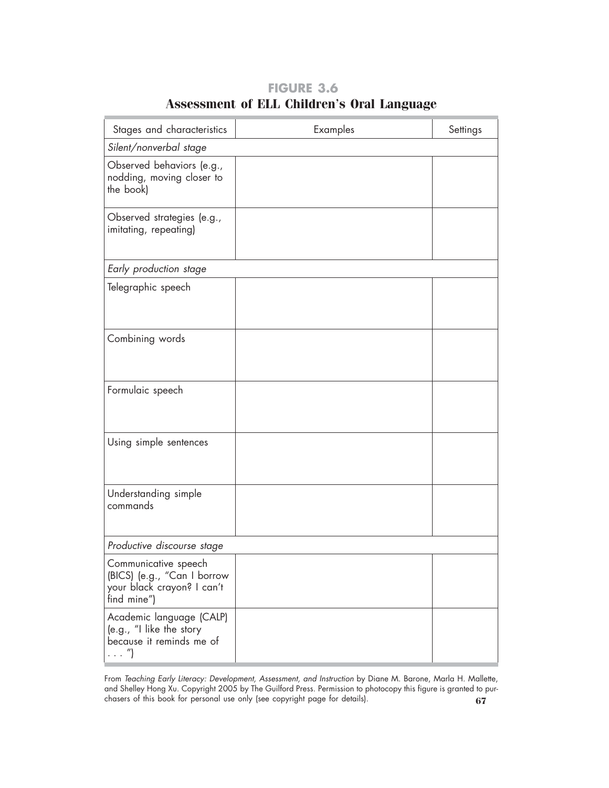| Stages and characteristics                                                                       | Examples | Settings |  |  |  |
|--------------------------------------------------------------------------------------------------|----------|----------|--|--|--|
| Silent/nonverbal stage                                                                           |          |          |  |  |  |
| Observed behaviors (e.g.,<br>nodding, moving closer to<br>the book)                              |          |          |  |  |  |
| Observed strategies (e.g.,<br>imitating, repeating)                                              |          |          |  |  |  |
| Early production stage                                                                           |          |          |  |  |  |
| Telegraphic speech                                                                               |          |          |  |  |  |
| Combining words                                                                                  |          |          |  |  |  |
| Formulaic speech                                                                                 |          |          |  |  |  |
| Using simple sentences                                                                           |          |          |  |  |  |
| Understanding simple<br>commands                                                                 |          |          |  |  |  |
| Productive discourse stage                                                                       |          |          |  |  |  |
| Communicative speech<br>(BICS) (e.g., "Can I borrow<br>your black crayon? I can't<br>find mine") |          |          |  |  |  |
| Academic language (CALP)<br>(e.g., "I like the story<br>because it reminds me of<br>$\ldots$ "   |          |          |  |  |  |

# **FIGURE 3.6 Assessment of ELL Children's Oral Language**

From Teaching Early Literacy: Development, Assessment, and Instruction by Diane M. Barone, Marla H. Mallette, and Shelley Hong Xu. Copyright 2005 by The Guilford Press. Permission to photocopy this figure is granted to purchasers of this book for personal use only (see copyright page for details).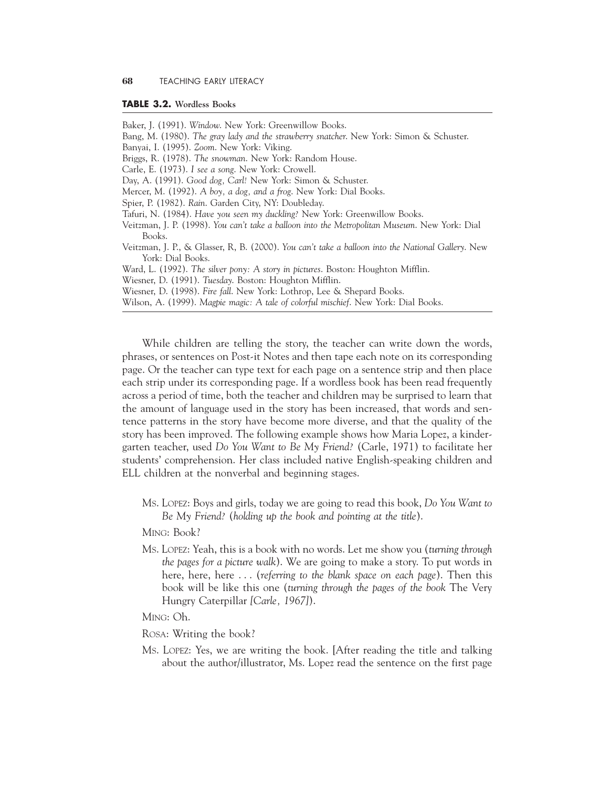#### **TABLE 3.2. Wordless Books**

Baker, J. (1991). *Window*. New York: Greenwillow Books.

Bang, M. (1980). *The gray lady and the strawberry snatcher*. New York: Simon & Schuster.

- Briggs, R. (1978). *The snowman*. New York: Random House.
- Carle, E. (1973). *I see a song*. New York: Crowell.
- Day, A. (1991). *Good dog, Carl!* New York: Simon & Schuster.
- Mercer, M. (1992). *A boy, a dog, and a frog*. New York: Dial Books.
- Spier, P. (1982). *Rain*. Garden City, NY: Doubleday.
- Tafuri, N. (1984). *Have you seen my duckling?* New York: Greenwillow Books.
- Veitzman, J. P. (1998). *You can't take a balloon into the Metropolitan Museum*. New York: Dial Books.
- Veitzman, J. P., & Glasser, R, B. (2000). *You can't take a balloon into the National Gallery*. New York: Dial Books.
- Ward, L. (1992). *The silver pony: A story in pictures*. Boston: Houghton Mifflin.
- Wiesner, D. (1991). *Tuesday*. Boston: Houghton Mifflin.
- Wiesner, D. (1998). *Fire fall*. New York: Lothrop, Lee & Shepard Books.
- Wilson, A. (1999). *Magpie magic: A tale of colorful mischief*. New York: Dial Books.

While children are telling the story, the teacher can write down the words, phrases, or sentences on Post-it Notes and then tape each note on its corresponding page. Or the teacher can type text for each page on a sentence strip and then place each strip under its corresponding page. If a wordless book has been read frequently across a period of time, both the teacher and children may be surprised to learn that the amount of language used in the story has been increased, that words and sentence patterns in the story have become more diverse, and that the quality of the story has been improved. The following example shows how Maria Lopez, a kindergarten teacher, used *Do You Want to Be My Friend?* (Carle, 1971) to facilitate her students' comprehension. Her class included native English-speaking children and ELL children at the nonverbal and beginning stages.

MS. LOPEZ: Boys and girls, today we are going to read this book, *Do You Want to Be My Friend?* (*holding up the book and pointing at the title*).

MING: Book?

MS. LOPEZ: Yeah, this is a book with no words. Let me show you (*turning through the pages for a picture walk*). We are going to make a story. To put words in here, here, here . . . (*referring to the blank space on each page*). Then this book will be like this one (*turning through the pages of the book* The Very Hungry Caterpillar *[Carle, 1967]*).

MING: Oh.

ROSA: Writing the book?

MS. LOPEZ: Yes, we are writing the book. [After reading the title and talking about the author/illustrator, Ms. Lopez read the sentence on the first page

Banyai, I. (1995). *Zoom*. New York: Viking.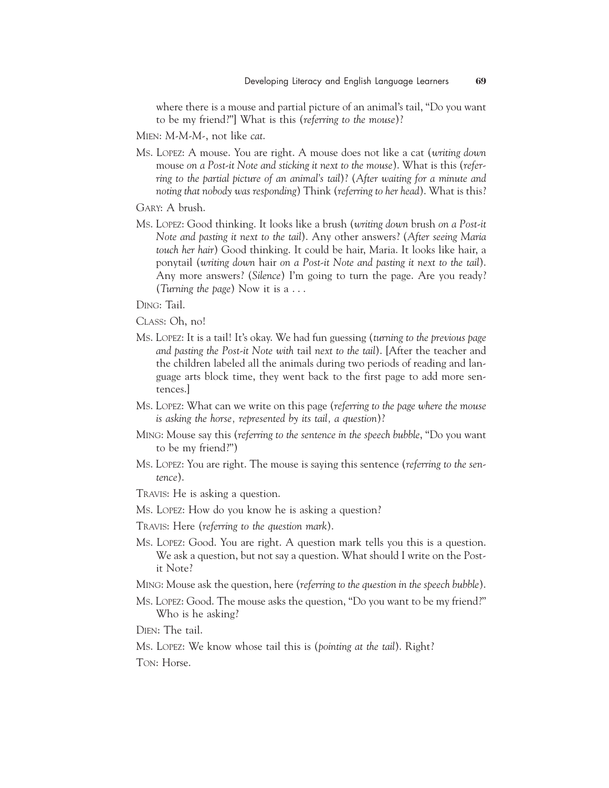where there is a mouse and partial picture of an animal's tail, "Do you want to be my friend?"] What is this (*referring to the mouse*)?

- MIEN: *M*-*M*-*M*-, not like *cat*.
- MS. LOPEZ: A mouse. You are right. A mouse does not like a cat (*writing down* mouse *on a Post-it Note and sticking it next to the mouse*). What is this (*referring to the partial picture of an animal's tail*)? (*After waiting for a minute and noting that nobody was responding*) Think (*referring to her head*). What is this?
- GARY: A brush.
- MS. LOPEZ: Good thinking. It looks like a brush (*writing down* brush *on a Post-it Note and pasting it next to the tail*). Any other answers? (*After seeing Maria touch her hair*) Good thinking. It could be hair, Maria. It looks like hair, a ponytail (*writing down* hair *on a Post-it Note and pasting it next to the tail*). Any more answers? (*Silence*) I'm going to turn the page. Are you ready? (*Turning the page*) Now it is a . . .

DING: Tail.

CLASS: Oh, no!

- MS. LOPEZ: It is a tail! It's okay. We had fun guessing (*turning to the previous page and pasting the Post-it Note with* tail *next to the tail*). [After the teacher and the children labeled all the animals during two periods of reading and language arts block time, they went back to the first page to add more sentences.]
- MS. LOPEZ: What can we write on this page (*referring to the page where the mouse is asking the horse, represented by its tail, a question*)?
- MING: Mouse say this (*referring to the sentence in the speech bubble*, "Do you want to be my friend?")
- MS. LOPEZ: You are right. The mouse is saying this sentence (*referring to the sentence*).
- TRAVIS: He is asking a question.
- MS. LOPEZ: How do you know he is asking a question?
- TRAVIS: Here (*referring to the question mark*).
- MS. LOPEZ: Good. You are right. A question mark tells you this is a question. We ask a question, but not say a question. What should I write on the Postit Note?
- MING: Mouse ask the question, here (*referring to the question in the speech bubble*).
- MS. LOPEZ: Good. The mouse asks the question, "Do you want to be my friend?" Who is he asking?
- DIEN: The tail.
- MS. LOPEZ: We know whose tail this is (*pointing at the tail*). Right?
- TON: Horse.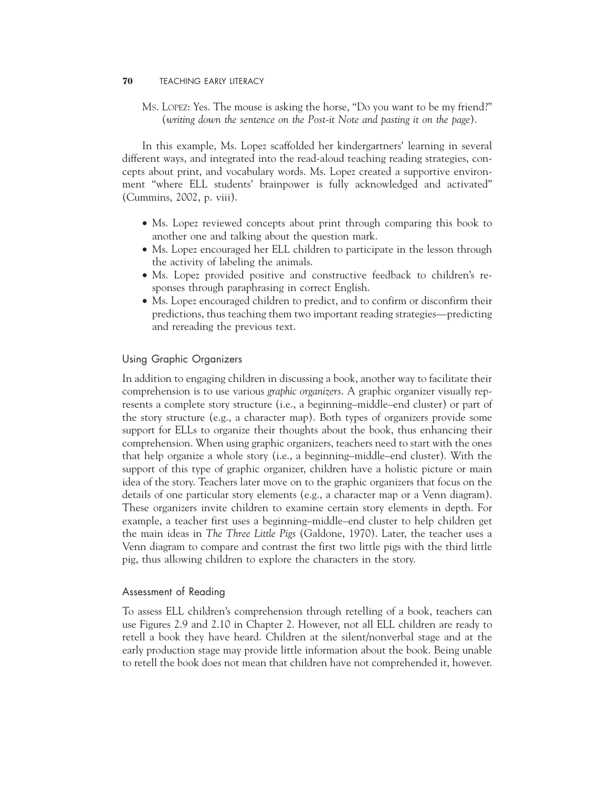MS. LOPEZ: Yes. The mouse is asking the horse, "Do you want to be my friend?" (*writing down the sentence on the Post-it Note and pasting it on the page*).

In this example, Ms. Lopez scaffolded her kindergartners' learning in several different ways, and integrated into the read-aloud teaching reading strategies, concepts about print, and vocabulary words. Ms. Lopez created a supportive environment "where ELL students' brainpower is fully acknowledged and activated" (Cummins, 2002, p. viii).

- Ms. Lopez reviewed concepts about print through comparing this book to another one and talking about the question mark.
- Ms. Lopez encouraged her ELL children to participate in the lesson through the activity of labeling the animals.
- Ms. Lopez provided positive and constructive feedback to children's responses through paraphrasing in correct English.
- Ms. Lopez encouraged children to predict, and to confirm or disconfirm their predictions, thus teaching them two important reading strategies—predicting and rereading the previous text.

# Using Graphic Organizers

In addition to engaging children in discussing a book, another way to facilitate their comprehension is to use various *graphic organizers*. A graphic organizer visually represents a complete story structure (i.e., a beginning–middle–end cluster) or part of the story structure (e.g., a character map). Both types of organizers provide some support for ELLs to organize their thoughts about the book, thus enhancing their comprehension. When using graphic organizers, teachers need to start with the ones that help organize a whole story (i.e., a beginning–middle–end cluster). With the support of this type of graphic organizer, children have a holistic picture or main idea of the story. Teachers later move on to the graphic organizers that focus on the details of one particular story elements (e.g., a character map or a Venn diagram). These organizers invite children to examine certain story elements in depth. For example, a teacher first uses a beginning–middle–end cluster to help children get the main ideas in *The Three Little Pigs* (Galdone, 1970). Later, the teacher uses a Venn diagram to compare and contrast the first two little pigs with the third little pig, thus allowing children to explore the characters in the story.

### Assessment of Reading

To assess ELL children's comprehension through retelling of a book, teachers can use Figures 2.9 and 2.10 in Chapter 2. However, not all ELL children are ready to retell a book they have heard. Children at the silent/nonverbal stage and at the early production stage may provide little information about the book. Being unable to retell the book does not mean that children have not comprehended it, however.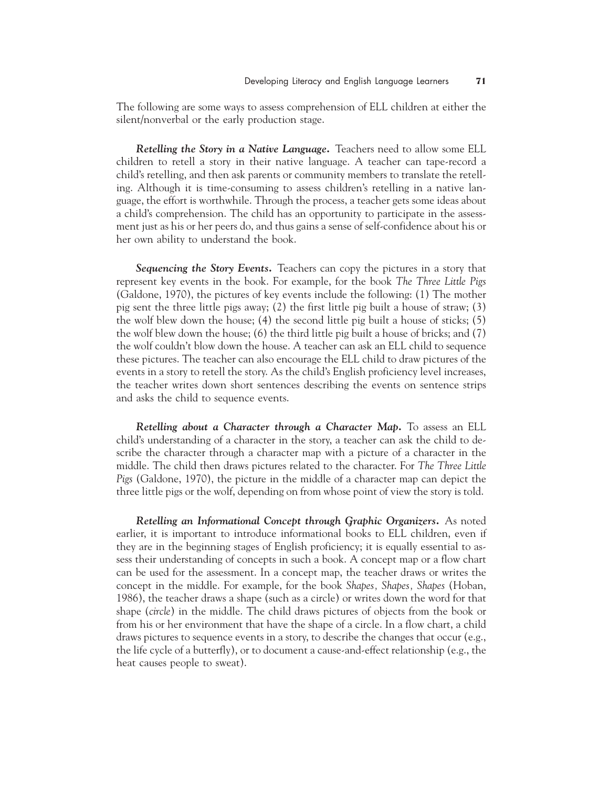The following are some ways to assess comprehension of ELL children at either the silent/nonverbal or the early production stage.

*Retelling the Story in a Native Language***.** Teachers need to allow some ELL children to retell a story in their native language. A teacher can tape-record a child's retelling, and then ask parents or community members to translate the retelling. Although it is time-consuming to assess children's retelling in a native language, the effort is worthwhile. Through the process, a teacher gets some ideas about a child's comprehension. The child has an opportunity to participate in the assessment just as his or her peers do, and thus gains a sense of self-confidence about his or her own ability to understand the book.

*Sequencing the Story Events***.** Teachers can copy the pictures in a story that represent key events in the book. For example, for the book *The Three Little Pigs* (Galdone, 1970), the pictures of key events include the following: (1) The mother pig sent the three little pigs away; (2) the first little pig built a house of straw; (3) the wolf blew down the house; (4) the second little pig built a house of sticks; (5) the wolf blew down the house; (6) the third little pig built a house of bricks; and (7) the wolf couldn't blow down the house. A teacher can ask an ELL child to sequence these pictures. The teacher can also encourage the ELL child to draw pictures of the events in a story to retell the story. As the child's English proficiency level increases, the teacher writes down short sentences describing the events on sentence strips and asks the child to sequence events.

*Retelling about a Character through a Character Map***.** To assess an ELL child's understanding of a character in the story, a teacher can ask the child to describe the character through a character map with a picture of a character in the middle. The child then draws pictures related to the character. For *The Three Little Pigs* (Galdone, 1970), the picture in the middle of a character map can depict the three little pigs or the wolf, depending on from whose point of view the story is told.

*Retelling an Informational Concept through Graphic Organizers***.** As noted earlier, it is important to introduce informational books to ELL children, even if they are in the beginning stages of English proficiency; it is equally essential to assess their understanding of concepts in such a book. A concept map or a flow chart can be used for the assessment. In a concept map, the teacher draws or writes the concept in the middle. For example, for the book *Shapes, Shapes, Shapes* (Hoban, 1986), the teacher draws a shape (such as a circle) or writes down the word for that shape (*circle*) in the middle. The child draws pictures of objects from the book or from his or her environment that have the shape of a circle. In a flow chart, a child draws pictures to sequence events in a story, to describe the changes that occur (e.g., the life cycle of a butterfly), or to document a cause-and-effect relationship (e.g., the heat causes people to sweat).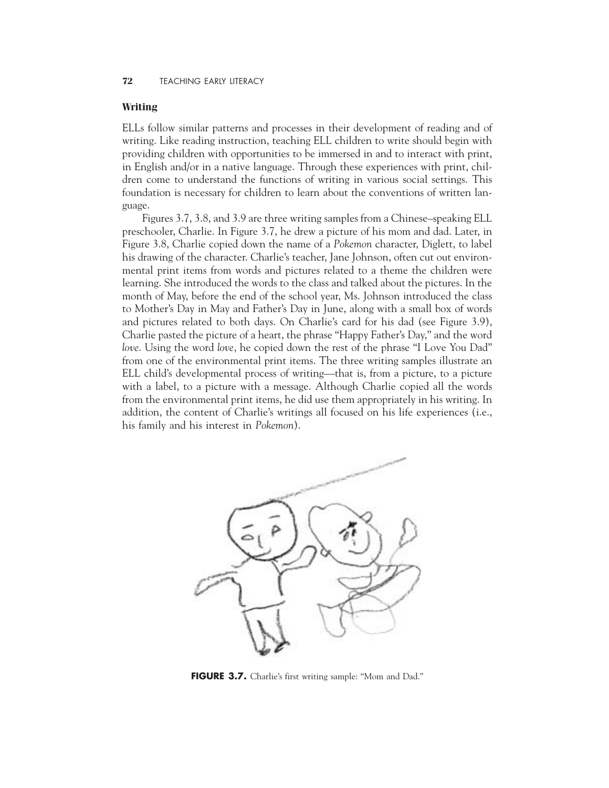### **Writing**

ELLs follow similar patterns and processes in their development of reading and of writing. Like reading instruction, teaching ELL children to write should begin with providing children with opportunities to be immersed in and to interact with print, in English and/or in a native language. Through these experiences with print, children come to understand the functions of writing in various social settings. This foundation is necessary for children to learn about the conventions of written language.

Figures 3.7, 3.8, and 3.9 are three writing samples from a Chinese–speaking ELL preschooler, Charlie. In Figure 3.7, he drew a picture of his mom and dad. Later, in Figure 3.8, Charlie copied down the name of a *Pokemon* character, Diglett, to label his drawing of the character. Charlie's teacher, Jane Johnson, often cut out environmental print items from words and pictures related to a theme the children were learning. She introduced the words to the class and talked about the pictures. In the month of May, before the end of the school year, Ms. Johnson introduced the class to Mother's Day in May and Father's Day in June, along with a small box of words and pictures related to both days. On Charlie's card for his dad (see Figure 3.9), Charlie pasted the picture of a heart, the phrase "Happy Father's Day," and the word *love*. Using the word *love*, he copied down the rest of the phrase "I Love You Dad" from one of the environmental print items. The three writing samples illustrate an ELL child's developmental process of writing—that is, from a picture, to a picture with a label, to a picture with a message. Although Charlie copied all the words from the environmental print items, he did use them appropriately in his writing. In addition, the content of Charlie's writings all focused on his life experiences (i.e., his family and his interest in *Pokemon*).



**FIGURE 3.7.** Charlie's first writing sample: "Mom and Dad."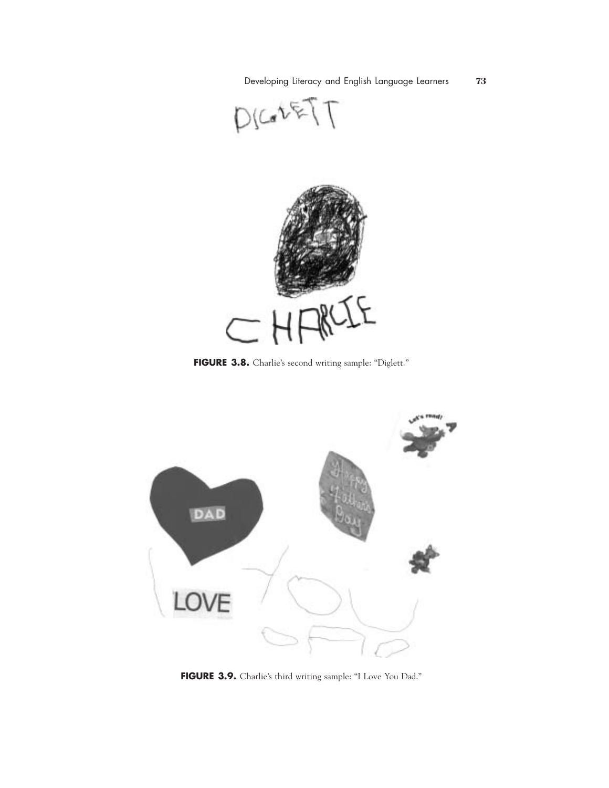Developing Literacy and English Language Learners **73**





**FIGURE 3.8.** Charlie's second writing sample: "Diglett."



**FIGURE 3.9.** Charlie's third writing sample: "I Love You Dad."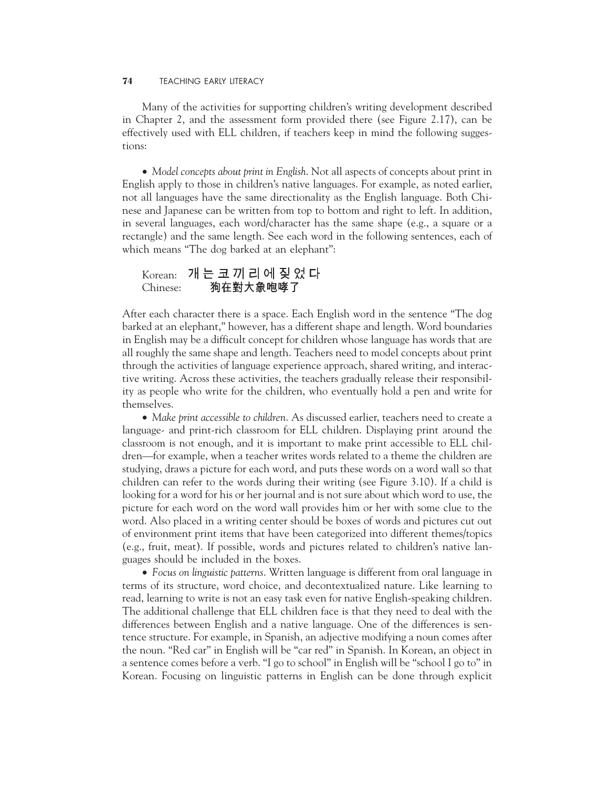Many of the activities for supporting children's writing development described in Chapter 2, and the assessment form provided there (see Figure 2.17), can be effectively used with ELL children, if teachers keep in mind the following suggestions:

• *Model concepts about print in English*. Not all aspects of concepts about print in English apply to those in children's native languages. For example, as noted earlier, not all languages have the same directionality as the English language. Both Chinese and Japanese can be written from top to bottom and right to left. In addition, in several languages, each word/character has the same shape (e.g., a square or a rectangle) and the same length. See each word in the following sentences, each of which means "The dog barked at an elephant":

#### 개 는 코 끼 리 에 짖 었 다 Korean: 狗在對大象咆哮了 Chinese:

After each character there is a space. Each English word in the sentence "The dog barked at an elephant," however, has a different shape and length. Word boundaries in English may be a difficult concept for children whose language has words that are all roughly the same shape and length. Teachers need to model concepts about print through the activities of language experience approach, shared writing, and interactive writing. Across these activities, the teachers gradually release their responsibility as people who write for the children, who eventually hold a pen and write for themselves.

• *Make print accessible to children*. As discussed earlier, teachers need to create a language- and print-rich classroom for ELL children. Displaying print around the classroom is not enough, and it is important to make print accessible to ELL children—for example, when a teacher writes words related to a theme the children are studying, draws a picture for each word, and puts these words on a word wall so that children can refer to the words during their writing (see Figure 3.10). If a child is looking for a word for his or her journal and is not sure about which word to use, the picture for each word on the word wall provides him or her with some clue to the word. Also placed in a writing center should be boxes of words and pictures cut out of environment print items that have been categorized into different themes/topics (e.g., fruit, meat). If possible, words and pictures related to children's native languages should be included in the boxes.

• *Focus on linguistic patterns*. Written language is different from oral language in terms of its structure, word choice, and decontextualized nature. Like learning to read, learning to write is not an easy task even for native English-speaking children. The additional challenge that ELL children face is that they need to deal with the differences between English and a native language. One of the differences is sentence structure. For example, in Spanish, an adjective modifying a noun comes after the noun. "Red car" in English will be "car red" in Spanish. In Korean, an object in a sentence comes before a verb. "I go to school" in English will be "school I go to" in Korean. Focusing on linguistic patterns in English can be done through explicit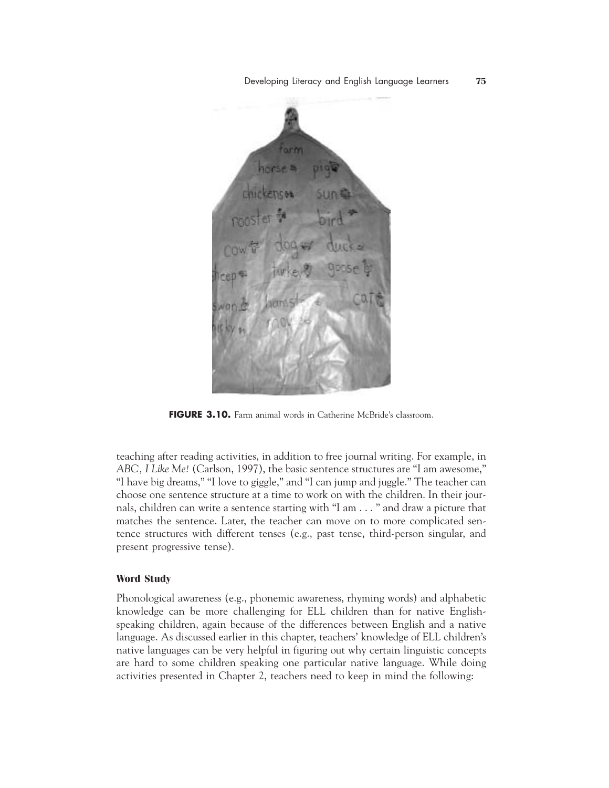**FIGURE 3.10.** Farm animal words in Catherine McBride's classroom.

teaching after reading activities, in addition to free journal writing. For example, in *ABC, I Like Me!* (Carlson, 1997), the basic sentence structures are "I am awesome," "I have big dreams," "I love to giggle," and "I can jump and juggle." The teacher can choose one sentence structure at a time to work on with the children. In their journals, children can write a sentence starting with "I am . . . " and draw a picture that matches the sentence. Later, the teacher can move on to more complicated sentence structures with different tenses (e.g., past tense, third-person singular, and present progressive tense).

### **Word Study**

Phonological awareness (e.g., phonemic awareness, rhyming words) and alphabetic knowledge can be more challenging for ELL children than for native Englishspeaking children, again because of the differences between English and a native language. As discussed earlier in this chapter, teachers' knowledge of ELL children's native languages can be very helpful in figuring out why certain linguistic concepts are hard to some children speaking one particular native language. While doing activities presented in Chapter 2, teachers need to keep in mind the following: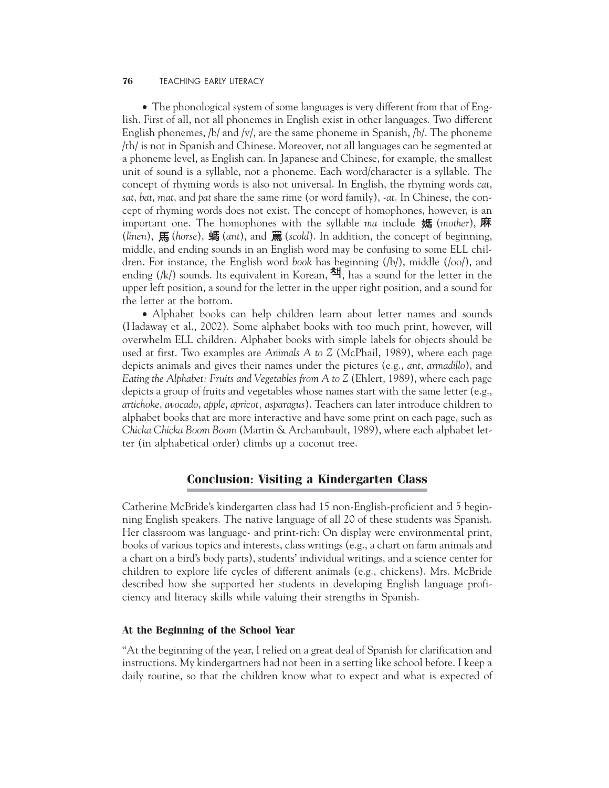• The phonological system of some languages is very different from that of English. First of all, not all phonemes in English exist in other languages. Two different English phonemes, /b/ and /v/, are the same phoneme in Spanish, /b/. The phoneme /th/ is not in Spanish and Chinese. Moreover, not all languages can be segmented at a phoneme level, as English can. In Japanese and Chinese, for example, the smallest unit of sound is a syllable, not a phoneme. Each word/character is a syllable. The concept of rhyming words is also not universal. In English, the rhyming words *cat*, *sat*, *bat*, *mat*, and *pat* share the same rime (or word family), -*at*. In Chinese, the concept of rhyming words does not exist. The concept of homophones, however, is an important one. The homophones with the syllable ma include 媽 (mother), 麻 (*linen*), (*horse*), (*ant*), and (*scold*). In addition, the concept of beginning, middle, and ending sounds in an English word may be confusing to some ELL children. For instance, the English word *book* has beginning (/b/), middle (/oo/), and ending (/k/) sounds. Its equivalent in Korean,  $\dot{\mathbf{a}}$ , has a sound for the letter in the upper left position, a sound for the letter in the upper right position, and a sound for the letter at the bottom.

• Alphabet books can help children learn about letter names and sounds (Hadaway et al., 2002). Some alphabet books with too much print, however, will overwhelm ELL children. Alphabet books with simple labels for objects should be used at first. Two examples are *Animals A to Z* (McPhail, 1989), where each page depicts animals and gives their names under the pictures (e.g., *ant*, *armadillo*), and *Eating the Alphabet: Fruits and Vegetables from A to Z* (Ehlert, 1989), where each page depicts a group of fruits and vegetables whose names start with the same letter (e.g., *artichoke*, *avocado*, *apple*, *apricot, asparagus*). Teachers can later introduce children to alphabet books that are more interactive and have some print on each page, such as *Chicka Chicka Boom Boom* (Martin & Archambault, 1989), where each alphabet letter (in alphabetical order) climbs up a coconut tree.

# **Conclusion: Visiting a Kindergarten Class**

Catherine McBride's kindergarten class had 15 non-English-proficient and 5 beginning English speakers. The native language of all 20 of these students was Spanish. Her classroom was language- and print-rich: On display were environmental print, books of various topics and interests, class writings (e.g., a chart on farm animals and a chart on a bird's body parts), students' individual writings, and a science center for children to explore life cycles of different animals (e.g., chickens). Mrs. McBride described how she supported her students in developing English language proficiency and literacy skills while valuing their strengths in Spanish.

# **At the Beginning of the School Year**

"At the beginning of the year, I relied on a great deal of Spanish for clarification and instructions. My kindergartners had not been in a setting like school before. I keep a daily routine, so that the children know what to expect and what is expected of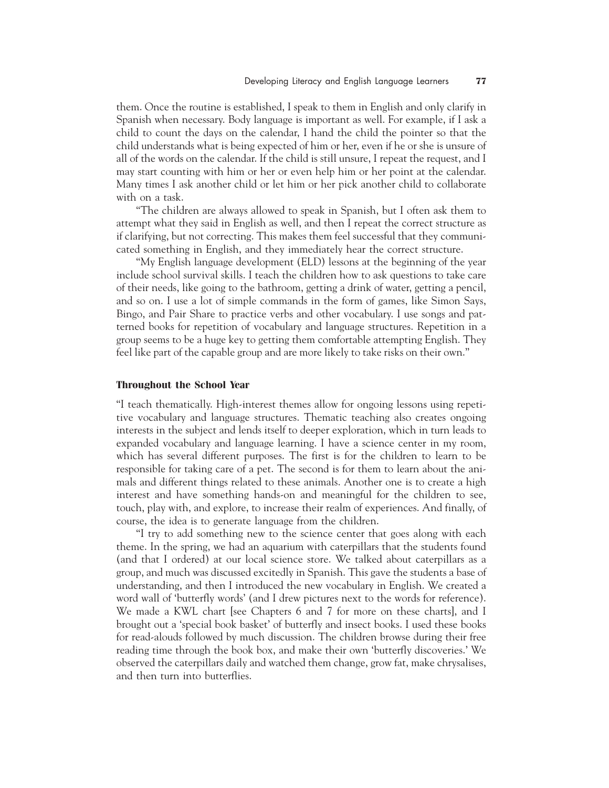them. Once the routine is established, I speak to them in English and only clarify in Spanish when necessary. Body language is important as well. For example, if I ask a child to count the days on the calendar, I hand the child the pointer so that the child understands what is being expected of him or her, even if he or she is unsure of all of the words on the calendar. If the child is still unsure, I repeat the request, and I may start counting with him or her or even help him or her point at the calendar. Many times I ask another child or let him or her pick another child to collaborate with on a task.

"The children are always allowed to speak in Spanish, but I often ask them to attempt what they said in English as well, and then I repeat the correct structure as if clarifying, but not correcting. This makes them feel successful that they communicated something in English, and they immediately hear the correct structure.

"My English language development (ELD) lessons at the beginning of the year include school survival skills. I teach the children how to ask questions to take care of their needs, like going to the bathroom, getting a drink of water, getting a pencil, and so on. I use a lot of simple commands in the form of games, like Simon Says, Bingo, and Pair Share to practice verbs and other vocabulary. I use songs and patterned books for repetition of vocabulary and language structures. Repetition in a group seems to be a huge key to getting them comfortable attempting English. They feel like part of the capable group and are more likely to take risks on their own."

#### **Throughout the School Year**

"I teach thematically. High-interest themes allow for ongoing lessons using repetitive vocabulary and language structures. Thematic teaching also creates ongoing interests in the subject and lends itself to deeper exploration, which in turn leads to expanded vocabulary and language learning. I have a science center in my room, which has several different purposes. The first is for the children to learn to be responsible for taking care of a pet. The second is for them to learn about the animals and different things related to these animals. Another one is to create a high interest and have something hands-on and meaningful for the children to see, touch, play with, and explore, to increase their realm of experiences. And finally, of course, the idea is to generate language from the children.

"I try to add something new to the science center that goes along with each theme. In the spring, we had an aquarium with caterpillars that the students found (and that I ordered) at our local science store. We talked about caterpillars as a group, and much was discussed excitedly in Spanish. This gave the students a base of understanding, and then I introduced the new vocabulary in English. We created a word wall of 'butterfly words' (and I drew pictures next to the words for reference). We made a KWL chart [see Chapters 6 and 7 for more on these charts], and I brought out a 'special book basket' of butterfly and insect books. I used these books for read-alouds followed by much discussion. The children browse during their free reading time through the book box, and make their own 'butterfly discoveries.' We observed the caterpillars daily and watched them change, grow fat, make chrysalises, and then turn into butterflies.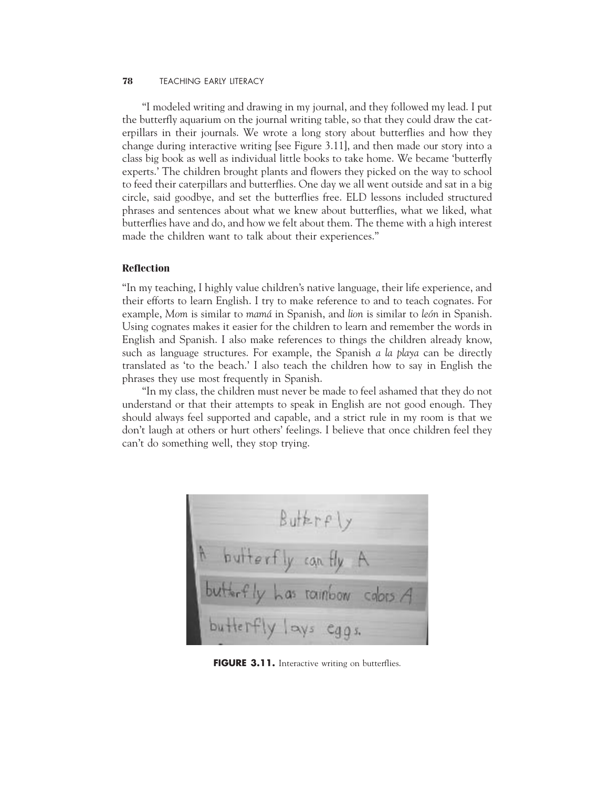"I modeled writing and drawing in my journal, and they followed my lead. I put the butterfly aquarium on the journal writing table, so that they could draw the caterpillars in their journals. We wrote a long story about butterflies and how they change during interactive writing [see Figure 3.11], and then made our story into a class big book as well as individual little books to take home. We became 'butterfly experts.' The children brought plants and flowers they picked on the way to school to feed their caterpillars and butterflies. One day we all went outside and sat in a big circle, said goodbye, and set the butterflies free. ELD lessons included structured phrases and sentences about what we knew about butterflies, what we liked, what butterflies have and do, and how we felt about them. The theme with a high interest made the children want to talk about their experiences."

# **Reflection**

"In my teaching, I highly value children's native language, their life experience, and their efforts to learn English. I try to make reference to and to teach cognates. For example, *Mom* is similar to *mamá* in Spanish, and *lion* is similar to *león* in Spanish. Using cognates makes it easier for the children to learn and remember the words in English and Spanish. I also make references to things the children already know, such as language structures. For example, the Spanish *a la playa* can be directly translated as 'to the beach.' I also teach the children how to say in English the phrases they use most frequently in Spanish.

"In my class, the children must never be made to feel ashamed that they do not understand or that their attempts to speak in English are not good enough. They should always feel supported and capable, and a strict rule in my room is that we don't laugh at others or hurt others' feelings. I believe that once children feel they can't do something well, they stop trying.

Butterfly y has rounbow

**FIGURE 3.11.** Interactive writing on butterflies.